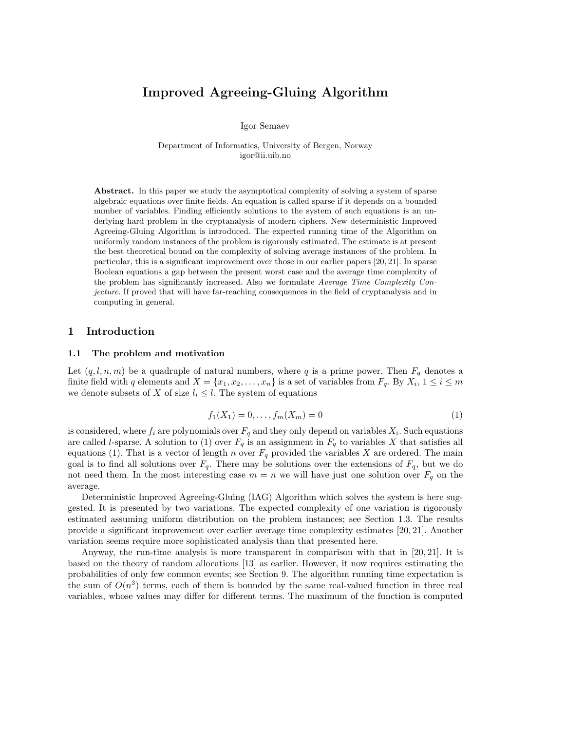# Improved Agreeing-Gluing Algorithm

Igor Semaev

Department of Informatics, University of Bergen, Norway igor@ii.uib.no

Abstract. In this paper we study the asymptotical complexity of solving a system of sparse algebraic equations over finite fields. An equation is called sparse if it depends on a bounded number of variables. Finding efficiently solutions to the system of such equations is an underlying hard problem in the cryptanalysis of modern ciphers. New deterministic Improved Agreeing-Gluing Algorithm is introduced. The expected running time of the Algorithm on uniformly random instances of the problem is rigorously estimated. The estimate is at present the best theoretical bound on the complexity of solving average instances of the problem. In particular, this is a significant improvement over those in our earlier papers [20, 21]. In sparse Boolean equations a gap between the present worst case and the average time complexity of the problem has significantly increased. Also we formulate Average Time Complexity Conjecture. If proved that will have far-reaching consequences in the field of cryptanalysis and in computing in general.

### 1 Introduction

#### 1.1 The problem and motivation

Let  $(q, l, n, m)$  be a quadruple of natural numbers, where q is a prime power. Then  $F_q$  denotes a finite field with q elements and  $X = \{x_1, x_2, \ldots, x_n\}$  is a set of variables from  $F_q$ . By  $X_i$ ,  $1 \le i \le m$ we denote subsets of X of size  $l_i \leq l$ . The system of equations

$$
f_1(X_1) = 0, \dots, f_m(X_m) = 0 \tag{1}
$$

is considered, where  $f_i$  are polynomials over  $F_q$  and they only depend on variables  $X_i$ . Such equations are called *l*-sparse. A solution to (1) over  $F_q$  is an assignment in  $F_q$  to variables X that satisfies all equations (1). That is a vector of length n over  $F_q$  provided the variables X are ordered. The main goal is to find all solutions over  $F_q$ . There may be solutions over the extensions of  $F_q$ , but we do not need them. In the most interesting case  $m = n$  we will have just one solution over  $F_q$  on the average.

Deterministic Improved Agreeing-Gluing (IAG) Algorithm which solves the system is here suggested. It is presented by two variations. The expected complexity of one variation is rigorously estimated assuming uniform distribution on the problem instances; see Section 1.3. The results provide a significant improvement over earlier average time complexity estimates [20, 21]. Another variation seems require more sophisticated analysis than that presented here.

Anyway, the run-time analysis is more transparent in comparison with that in [20, 21]. It is based on the theory of random allocations [13] as earlier. However, it now requires estimating the probabilities of only few common events; see Section 9. The algorithm running time expectation is the sum of  $O(n^3)$  terms, each of them is bounded by the same real-valued function in three real variables, whose values may differ for different terms. The maximum of the function is computed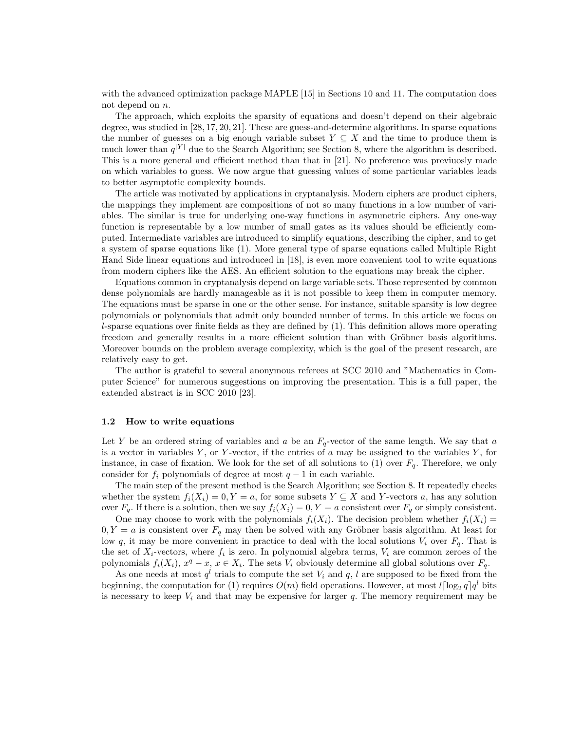with the advanced optimization package MAPLE [15] in Sections 10 and 11. The computation does not depend on n.

The approach, which exploits the sparsity of equations and doesn't depend on their algebraic degree, was studied in [28, 17, 20, 21]. These are guess-and-determine algorithms. In sparse equations the number of guesses on a big enough variable subset  $Y \subseteq X$  and the time to produce them is much lower than  $q^{|Y|}$  due to the Search Algorithm; see Section 8, where the algorithm is described. This is a more general and efficient method than that in [21]. No preference was previuosly made on which variables to guess. We now argue that guessing values of some particular variables leads to better asymptotic complexity bounds.

The article was motivated by applications in cryptanalysis. Modern ciphers are product ciphers, the mappings they implement are compositions of not so many functions in a low number of variables. The similar is true for underlying one-way functions in asymmetric ciphers. Any one-way function is representable by a low number of small gates as its values should be efficiently computed. Intermediate variables are introduced to simplify equations, describing the cipher, and to get a system of sparse equations like (1). More general type of sparse equations called Multiple Right Hand Side linear equations and introduced in [18], is even more convenient tool to write equations from modern ciphers like the AES. An efficient solution to the equations may break the cipher.

Equations common in cryptanalysis depend on large variable sets. Those represented by common dense polynomials are hardly manageable as it is not possible to keep them in computer memory. The equations must be sparse in one or the other sense. For instance, suitable sparsity is low degree polynomials or polynomials that admit only bounded number of terms. In this article we focus on l-sparse equations over finite fields as they are defined by (1). This definition allows more operating freedom and generally results in a more efficient solution than with Gröbner basis algorithms. Moreover bounds on the problem average complexity, which is the goal of the present research, are relatively easy to get.

The author is grateful to several anonymous referees at SCC 2010 and "Mathematics in Computer Science" for numerous suggestions on improving the presentation. This is a full paper, the extended abstract is in SCC 2010 [23].

#### 1.2 How to write equations

Let Y be an ordered string of variables and a be an  $F_q$ -vector of the same length. We say that a is a vector in variables  $Y$ , or  $Y$ -vector, if the entries of  $a$  may be assigned to the variables  $Y$ , for instance, in case of fixation. We look for the set of all solutions to (1) over  $F_q$ . Therefore, we only consider for  $f_i$  polynomials of degree at most  $q-1$  in each variable.

The main step of the present method is the Search Algorithm; see Section 8. It repeatedly checks whether the system  $f_i(X_i) = 0, Y = a$ , for some subsets  $Y \subseteq X$  and Y-vectors a, has any solution over  $F_q$ . If there is a solution, then we say  $f_i(X_i) = 0, Y = a$  consistent over  $F_q$  or simply consistent.

One may choose to work with the polynomials  $f_i(X_i)$ . The decision problem whether  $f_i(X_i)$  =  $0, Y = a$  is consistent over  $F_q$  may then be solved with any Gröbner basis algorithm. At least for low q, it may be more convenient in practice to deal with the local solutions  $V_i$  over  $F_q$ . That is the set of  $X_i$ -vectors, where  $f_i$  is zero. In polynomial algebra terms,  $V_i$  are common zeroes of the polynomials  $f_i(X_i)$ ,  $x^q - x$ ,  $x \in X_i$ . The sets  $V_i$  obviously determine all global solutions over  $F_q$ .

As one needs at most  $q^l$  trials to compute the set  $V_i$  and  $q$ , l are supposed to be fixed from the beginning, the computation for (1) requires  $O(m)$  field operations. However, at most  $l \lceil \log_2 q \rceil q^l$  bits is necessary to keep  $V_i$  and that may be expensive for larger q. The memory requirement may be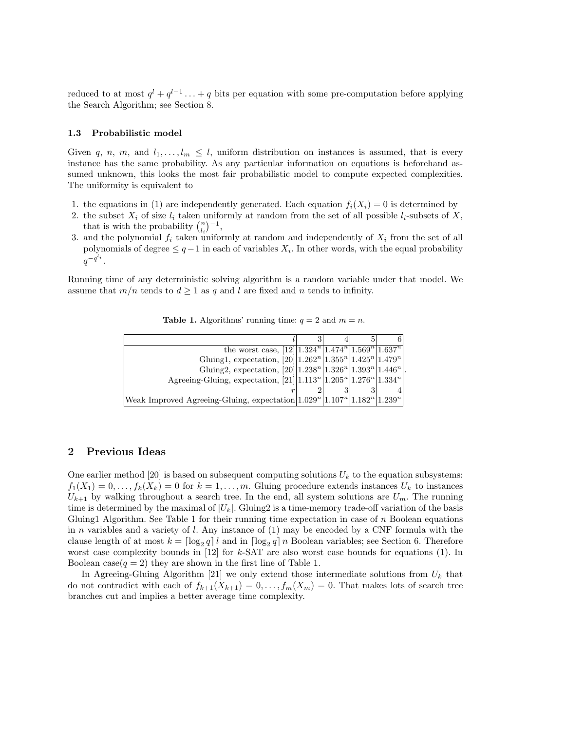reduced to at most  $q^{l} + q^{l-1} \ldots + q$  bits per equation with some pre-computation before applying the Search Algorithm; see Section 8.

#### 1.3 Probabilistic model

Given q, n, m, and  $l_1, \ldots, l_m \leq l$ , uniform distribution on instances is assumed, that is every instance has the same probability. As any particular information on equations is beforehand assumed unknown, this looks the most fair probabilistic model to compute expected complexities. The uniformity is equivalent to

- 1. the equations in (1) are independently generated. Each equation  $f_i(X_i) = 0$  is determined by
- 2. the subset  $X_i$  of size  $l_i$  taken uniformly at random from the set of all possible  $l_i$ -subsets of X, that is with the probability  $\binom{n}{l_i}^{-1}$ ,
- 3. and the polynomial  $f_i$  taken uniformly at random and independently of  $X_i$  from the set of all polynomials of degree  $\leq q-1$  in each of variables  $X_i$ . In other words, with the equal probability  $q^{-q^{l_i}}$  .

Running time of any deterministic solving algorithm is a random variable under that model. We assume that  $m/n$  tends to  $d \geq 1$  as q and l are fixed and n tends to infinity.

| the worst case, $[12]   1.324n   1.474n   1.569n   1.637n$                              |  |  |
|-----------------------------------------------------------------------------------------|--|--|
| Gluing1, expectation, $[20][1.262n   1.355n   1.425n   1.479n  $                        |  |  |
| Gluing2, expectation, $[20][1.238n   1.326n   1.393n   1.446n  $ .                      |  |  |
| Agreeing-Gluing, expectation, $[21][1.113^{n} 1.205^{n} 1.276^{n} 1.334^{n}]$           |  |  |
|                                                                                         |  |  |
| Weak Improved Agreeing-Gluing, expectation $1.029^{n}  1.107^{n}  1.182^{n}  1.239^{n}$ |  |  |

**Table 1.** Algorithms' running time:  $q = 2$  and  $m = n$ .

## 2 Previous Ideas

One earlier method [20] is based on subsequent computing solutions  $U_k$  to the equation subsystems:  $f_1(X_1) = 0, \ldots, f_k(X_k) = 0$  for  $k = 1, \ldots, m$ . Gluing procedure extends instances  $U_k$  to instances  $U_{k+1}$  by walking throughout a search tree. In the end, all system solutions are  $U_m$ . The running time is determined by the maximal of  $|U_k|$ . Gluing2 is a time-memory trade-off variation of the basis Gluing 1 Algorithm. See Table 1 for their running time expectation in case of  $n$  Boolean equations in n variables and a variety of l. Any instance of  $(1)$  may be encoded by a CNF formula with the clause length of at most  $k = \lceil \log_2 q \rceil l$  and in  $\lceil \log_2 q \rceil n$  Boolean variables; see Section 6. Therefore worst case complexity bounds in  $[12]$  for k-SAT are also worst case bounds for equations (1). In Boolean case( $q = 2$ ) they are shown in the first line of Table 1.

In Agreeing-Gluing Algorithm [21] we only extend those intermediate solutions from  $U_k$  that do not contradict with each of  $f_{k+1}(X_{k+1}) = 0, \ldots, f_m(X_m) = 0$ . That makes lots of search tree branches cut and implies a better average time complexity.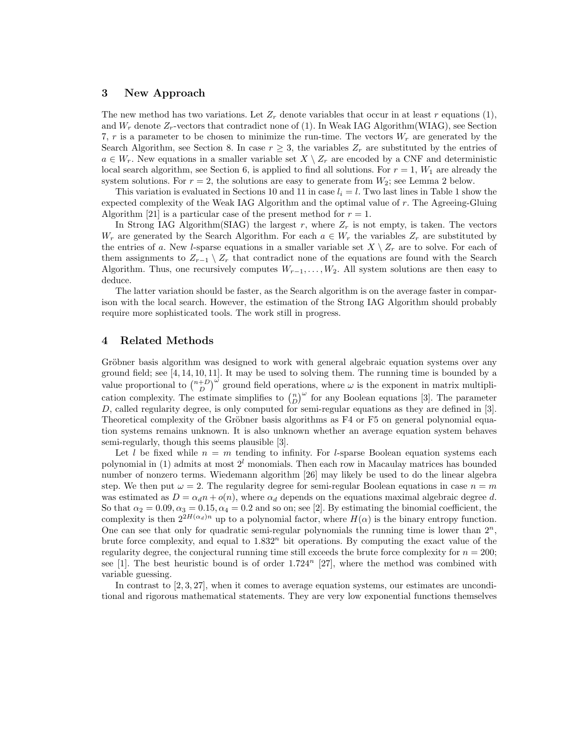### 3 New Approach

The new method has two variations. Let  $Z_r$  denote variables that occur in at least r equations (1), and  $W_r$  denote  $Z_r$ -vectors that contradict none of (1). In Weak IAG Algorithm (WIAG), see Section 7,  $r$  is a parameter to be chosen to minimize the run-time. The vectors  $W_r$  are generated by the Search Algorithm, see Section 8. In case  $r \geq 3$ , the variables  $Z_r$  are substituted by the entries of  $a \in W_r$ . New equations in a smaller variable set  $X \setminus Z_r$  are encoded by a CNF and deterministic local search algorithm, see Section 6, is applied to find all solutions. For  $r = 1$ ,  $W_1$  are already the system solutions. For  $r = 2$ , the solutions are easy to generate from  $W_2$ ; see Lemma 2 below.

This variation is evaluated in Sections 10 and 11 in case  $l_i = l$ . Two last lines in Table 1 show the expected complexity of the Weak IAG Algorithm and the optimal value of  $r$ . The Agreeing-Gluing Algorithm [21] is a particular case of the present method for  $r = 1$ .

In Strong IAG Algorithm(SIAG) the largest r, where  $Z_r$  is not empty, is taken. The vectors W<sub>r</sub> are generated by the Search Algorithm. For each  $a \in W_r$  the variables  $Z_r$  are substituted by the entries of a. New *l*-sparse equations in a smaller variable set  $X \setminus Z_r$  are to solve. For each of them assignments to  $Z_{r-1} \setminus Z_r$  that contradict none of the equations are found with the Search Algorithm. Thus, one recursively computes  $W_{r-1}, \ldots, W_2$ . All system solutions are then easy to deduce.

The latter variation should be faster, as the Search algorithm is on the average faster in comparison with the local search. However, the estimation of the Strong IAG Algorithm should probably require more sophisticated tools. The work still in progress.

## 4 Related Methods

Gröbner basis algorithm was designed to work with general algebraic equation systems over any ground field; see [4, 14, 10, 11]. It may be used to solving them. The running time is bounded by a value proportional to  $\binom{n+D}{D}^{\omega}$  ground field operations, where  $\omega$  is the exponent in matrix multiplication complexity. The estimate simplifies to  $\binom{n}{D}^{\omega}$  for any Boolean equations [3]. The parameter D, called regularity degree, is only computed for semi-regular equations as they are defined in [3]. Theoretical complexity of the Gröbner basis algorithms as  $F4$  or  $F5$  on general polynomial equation systems remains unknown. It is also unknown whether an average equation system behaves semi-regularly, though this seems plausible [3].

Let l be fixed while  $n = m$  tending to infinity. For l-sparse Boolean equation systems each polynomial in (1) admits at most  $2<sup>l</sup>$  monomials. Then each row in Macaulay matrices has bounded number of nonzero terms. Wiedemann algorithm [26] may likely be used to do the linear algebra step. We then put  $\omega = 2$ . The regularity degree for semi-regular Boolean equations in case  $n = m$ was estimated as  $D = \alpha_d n + o(n)$ , where  $\alpha_d$  depends on the equations maximal algebraic degree d. So that  $\alpha_2 = 0.09, \alpha_3 = 0.15, \alpha_4 = 0.2$  and so on; see [2]. By estimating the binomial coefficient, the complexity is then  $2^{2H(\alpha_d)n}$  up to a polynomial factor, where  $H(\alpha)$  is the binary entropy function. One can see that only for quadratic semi-regular polynomials the running time is lower than  $2^n$ , brute force complexity, and equal to  $1.832<sup>n</sup>$  bit operations. By computing the exact value of the regularity degree, the conjectural running time still exceeds the brute force complexity for  $n = 200$ ; see [1]. The best heuristic bound is of order  $1.724<sup>n</sup>$  [27], where the method was combined with variable guessing.

In contrast to [2, 3, 27], when it comes to average equation systems, our estimates are unconditional and rigorous mathematical statements. They are very low exponential functions themselves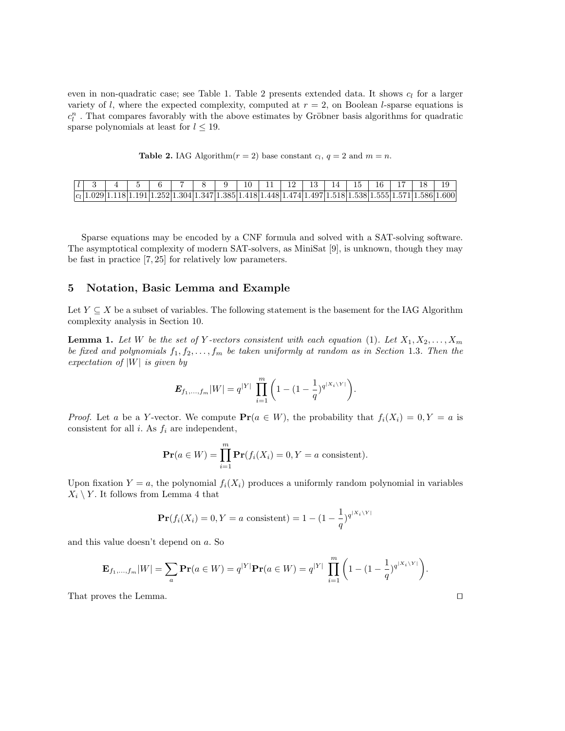even in non-quadratic case; see Table 1. Table 2 presents extended data. It shows  $c_l$  for a larger variety of l, where the expected complexity, computed at  $r = 2$ , on Boolean l-sparse equations is  $c^n_l$  . That compares favorably with the above estimates by Gröbner basis algorithms for quadratic sparse polynomials at least for  $l \leq 19$ .

**Table 2.** IAG Algorithm $(r = 2)$  base constant  $c_l$ ,  $q = 2$  and  $m = n$ .

|  |  |  |  |  |  |  |  | $ l $ 3 4 5 6 7 8 9 10 11 12 3 4 5 7 8 9 |                                                                                                               |
|--|--|--|--|--|--|--|--|------------------------------------------|---------------------------------------------------------------------------------------------------------------|
|  |  |  |  |  |  |  |  |                                          | $ c_1 1.029 1.118 1.191 1.252 1.304 1.347 1.385 1.418 1.448 1.474 1.497 1.518 1.538 1.555 1.571 1.586 1.600 $ |

Sparse equations may be encoded by a CNF formula and solved with a SAT-solving software. The asymptotical complexity of modern SAT-solvers, as MiniSat [9], is unknown, though they may be fast in practice [7, 25] for relatively low parameters.

### 5 Notation, Basic Lemma and Example

Let  $Y \subseteq X$  be a subset of variables. The following statement is the basement for the IAG Algorithm complexity analysis in Section 10.

**Lemma 1.** Let W be the set of Y-vectors consistent with each equation (1). Let  $X_1, X_2, \ldots, X_m$ be fixed and polynomials  $f_1, f_2, \ldots, f_m$  be taken uniformly at random as in Section 1.3. Then the expectation of  $|W|$  is given by

$$
\pmb{E}_{f_1,...,f_m} |W| = q^{|Y|} \ \prod_{i=1}^m \bigg(1 - (1 - \frac{1}{q})^{q^{|X_i \setminus Y|}} \bigg).
$$

*Proof.* Let a be a Y-vector. We compute  $Pr(a \in W)$ , the probability that  $f_i(X_i) = 0, Y = a$  is consistent for all  $i$ . As  $f_i$  are independent,

$$
\mathbf{Pr}(a \in W) = \prod_{i=1}^{m} \mathbf{Pr}(f_i(X_i) = 0, Y = a \text{ consistent}).
$$

Upon fixation  $Y = a$ , the polynomial  $f_i(X_i)$  produces a uniformly random polynomial in variables  $X_i \setminus Y$ . It follows from Lemma 4 that

$$
\mathbf{Pr}(f_i(X_i) = 0, Y = a \text{ consistent}) = 1 - (1 - \frac{1}{q})^{q^{|X_i \setminus Y|}}
$$

and this value doesn't depend on a. So

$$
\mathbf{E}_{f_1,\dots,f_m}|W| = \sum_a \mathbf{Pr}(a \in W) = q^{|Y|}\mathbf{Pr}(a \in W) = q^{|Y|}\prod_{i=1}^m \left(1 - (1 - \frac{1}{q})^{q^{|X_i \setminus Y|}}\right).
$$

That proves the Lemma.  $\Box$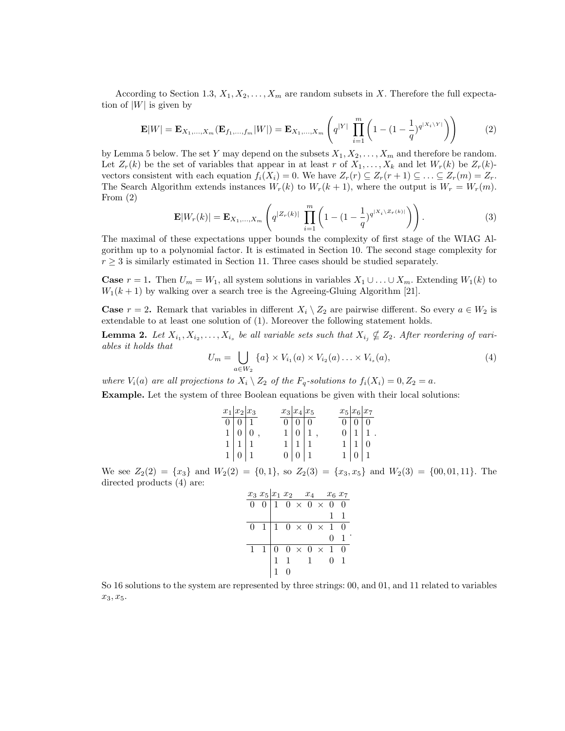According to Section 1.3,  $X_1, X_2, \ldots, X_m$  are random subsets in X. Therefore the full expectation of  $|W|$  is given by

$$
\mathbf{E}|W| = \mathbf{E}_{X_1,\dots,X_m}(\mathbf{E}_{f_1,\dots,f_m}|W|) = \mathbf{E}_{X_1,\dots,X_m}\left(q^{|Y|}\prod_{i=1}^m \left(1 - (1 - \frac{1}{q})^{q^{|X_i \setminus Y|}}\right)\right)
$$
(2)

by Lemma 5 below. The set Y may depend on the subsets  $X_1, X_2, \ldots, X_m$  and therefore be random. Let  $Z_r(k)$  be the set of variables that appear in at least r of  $X_1, \ldots, X_k$  and let  $W_r(k)$  be  $Z_r(k)$ vectors consistent with each equation  $f_i(X_i) = 0$ . We have  $Z_r(r) \subseteq Z_r(r+1) \subseteq \ldots \subseteq Z_r(m) = Z_r$ . The Search Algorithm extends instances  $W_r(k)$  to  $W_r(k+1)$ , where the output is  $W_r = W_r(m)$ . From (2)

$$
\mathbf{E}|W_r(k)| = \mathbf{E}_{X_1,...,X_m} \left( q^{|Z_r(k)|} \prod_{i=1}^m \left( 1 - (1 - \frac{1}{q})^{q^{|X_i \setminus Z_r(k)|}} \right) \right).
$$
 (3)

The maximal of these expectations upper bounds the complexity of first stage of the WIAG Algorithm up to a polynomial factor. It is estimated in Section 10. The second stage complexity for  $r \geq 3$  is similarly estimated in Section 11. Three cases should be studied separately.

**Case**  $r = 1$ . Then  $U_m = W_1$ , all system solutions in variables  $X_1 \cup \ldots \cup X_m$ . Extending  $W_1(k)$  to  $W_1(k+1)$  by walking over a search tree is the Agreeing-Gluing Algorithm [21].

**Case**  $r = 2$ . Remark that variables in different  $X_i \setminus Z_2$  are pairwise different. So every  $a \in W_2$  is extendable to at least one solution of (1). Moreover the following statement holds.

**Lemma 2.** Let  $X_{i_1}, X_{i_2}, \ldots, X_{i_s}$  be all variable sets such that  $X_{i_j} \nsubseteq Z_2$ . After reordering of variables it holds that

$$
U_m = \bigcup_{a \in W_2} \{a\} \times V_{i_1}(a) \times V_{i_2}(a) \dots \times V_{i_s}(a),
$$
 (4)

where  $V_i(a)$  are all projections to  $X_i \setminus Z_2$  of the  $F_q$ -solutions to  $f_i(X_i) = 0, Z_2 = a$ .

Example. Let the system of three Boolean equations be given with their local solutions:

|                   | $x_1 x_2 x_3$                                               |       | $x_3 x_4 x_5$                                                                                                    | $x_5 x_6 x_7$ |                                                        |               |
|-------------------|-------------------------------------------------------------|-------|------------------------------------------------------------------------------------------------------------------|---------------|--------------------------------------------------------|---------------|
|                   | $0\vert 0\vert 1$                                           | 0 0 0 |                                                                                                                  |               | $\boxed{0}$ $\boxed{0}$ $\boxed{0}$                    |               |
| $1 \mid 0 \mid 0$ |                                                             |       | $1 0 1$ ,                                                                                                        |               |                                                        | $0   1   1$ . |
|                   |                                                             |       |                                                                                                                  |               |                                                        |               |
|                   | $\begin{array}{c c c}\n1 & 1 & 1 \\ 1 & 0 & 1\n\end{array}$ |       | $\begin{bmatrix} 1 \\ 0 \end{bmatrix} \begin{bmatrix} 1 \\ 0 \end{bmatrix} \begin{bmatrix} 1 \\ 1 \end{bmatrix}$ |               | $\begin{bmatrix} 1 & 1 & 0 \\ 1 & 0 & 1 \end{bmatrix}$ |               |

We see  $Z_2(2) = \{x_3\}$  and  $W_2(2) = \{0, 1\}$ , so  $Z_2(3) = \{x_3, x_5\}$  and  $W_2(3) = \{00, 01, 11\}$ . The directed products (4) are:

|              |  |  | $\begin{array}{c cccc}\nx_3 & x_5 & x_1 & x_2 & x_4 & x_6 & x_7 \\ \hline\n0 & 0 & 1 & 0 & \times & 0 & \times & 0 & 0\n\end{array}$ |  |  |
|--------------|--|--|--------------------------------------------------------------------------------------------------------------------------------------|--|--|
|              |  |  |                                                                                                                                      |  |  |
|              |  |  | $\overline{0}$ 1 1 $\overline{0}$ $\times$ 0 $\times$ 1 $\overline{0}$                                                               |  |  |
|              |  |  |                                                                                                                                      |  |  |
| $\mathbf{1}$ |  |  |                                                                                                                                      |  |  |
|              |  |  | $1\begin{pmatrix} 0 & 0 \times 0 \times 1 & 0 \\ 1 & 1 & 1 & 0 \end{pmatrix}$                                                        |  |  |
|              |  |  |                                                                                                                                      |  |  |

So 16 solutions to the system are represented by three strings: 00, and 01, and 11 related to variables  $x_3, x_5.$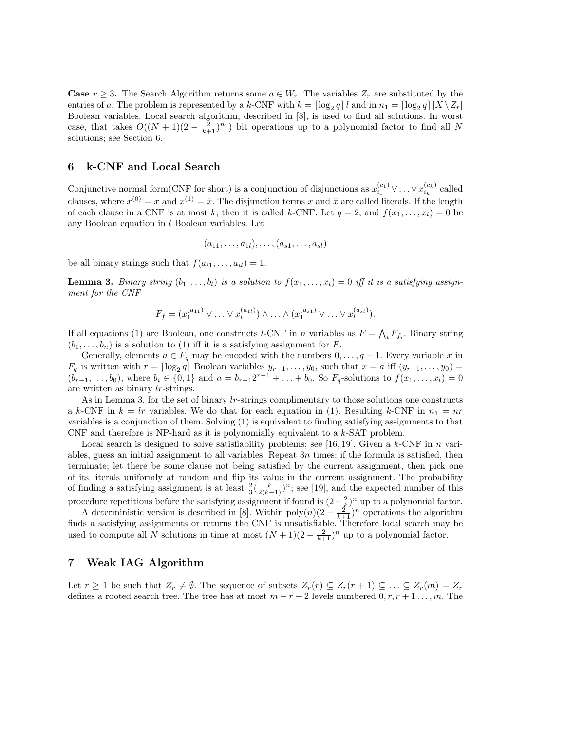**Case**  $r \geq 3$ . The Search Algorithm returns some  $a \in W_r$ . The variables  $Z_r$  are substituted by the entries of a. The problem is represented by a k-CNF with  $k = \lceil \log_2 q \rceil l$  and in  $n_1 = \lceil \log_2 q \rceil |X \setminus Z_r|$ Boolean variables. Local search algorithm, described in [8], is used to find all solutions. In worst case, that takes  $O((N+1)(2-\frac{2}{k+1})^{n_1})$  bit operations up to a polynomial factor to find all N solutions; see Section 6.

## 6 k-CNF and Local Search

Conjunctive normal form(CNF for short) is a conjunction of disjunctions as  $x_{i_1}^{(c_1)} \vee \ldots \vee x_{i_k}^{(c_k)}$  called clauses, where  $x^{(0)} = x$  and  $x^{(1)} = \bar{x}$ . The disjunction terms x and  $\bar{x}$  are called literals. If the length of each clause in a CNF is at most k, then it is called k-CNF. Let  $q = 2$ , and  $f(x_1, \ldots, x_l) = 0$  be any Boolean equation in  $l$  Boolean variables. Let

$$
(a_{11},\ldots,a_{1l}),\ldots,(a_{s1},\ldots,a_{sl})
$$

be all binary strings such that  $f(a_{i1}, \ldots, a_{il}) = 1$ .

**Lemma 3.** Binary string  $(b_1, \ldots, b_l)$  is a solution to  $f(x_1, \ldots, x_l) = 0$  iff it is a satisfying assignment for the CNF

$$
F_f = (x_1^{(a_{11})} \vee \ldots \vee x_l^{(a_{1l})}) \wedge \ldots \wedge (x_1^{(a_{s1})} \vee \ldots \vee x_l^{(a_{sl})}).
$$

If all equations (1) are Boolean, one constructs l-CNF in n variables as  $F = \bigwedge_i F_{f_i}$ . Binary string  $(b_1, \ldots, b_n)$  is a solution to (1) iff it is a satisfying assignment for F.

Generally, elements  $a \in F_q$  may be encoded with the numbers  $0, \ldots, q-1$ . Every variable x in  $F_q$  is written with  $r = \lceil \log_2 q \rceil$  Boolean variables  $y_{r-1}, \ldots, y_0$ , such that  $x = a$  iff  $(y_{r-1}, \ldots, y_0)$  $(b_{r-1},...,b_0)$ , where  $b_i \in \{0,1\}$  and  $a = b_{r-1}2^{r-1} + ... + b_0$ . So  $F_q$ -solutions to  $f(x_1,...,x_l) = 0$ are written as binary lr-strings.

As in Lemma 3, for the set of binary lr-strings complimentary to those solutions one constructs a k-CNF in  $k = lr$  variables. We do that for each equation in (1). Resulting k-CNF in  $n_1 = nr$ variables is a conjunction of them. Solving (1) is equivalent to finding satisfying assignments to that CNF and therefore is NP-hard as it is polynomially equivalent to a k-SAT problem.

Local search is designed to solve satisfiability problems; see [16, 19]. Given a k-CNF in n variables, guess an initial assignment to all variables. Repeat  $3n$  times: if the formula is satisfied, then terminate; let there be some clause not being satisfied by the current assignment, then pick one of its literals uniformly at random and flip its value in the current assignment. The probability of finding a satisfying assignment is at least  $\frac{2}{3}(\frac{k}{2(k-1)})^n$ ; see [19], and the expected number of this procedure repetitions before the satisfying assignment if found is  $(2-\frac{2}{k})^n$  up to a polynomial factor.

A deterministic version is described in [8]. Within  $\text{poly}(n)(2-\frac{2^{\degree}}{k+1})^n$  operations the algorithm finds a satisfying assignments or returns the CNF is unsatisfiable. Therefore local search may be used to compute all N solutions in time at most  $(N+1)(2-\frac{2}{k+1})^n$  up to a polynomial factor.

## 7 Weak IAG Algorithm

Let  $r \geq 1$  be such that  $Z_r \neq \emptyset$ . The sequence of subsets  $Z_r(r) \subseteq Z_r(r+1) \subseteq \ldots \subseteq Z_r(m) = Z_r$ defines a rooted search tree. The tree has at most  $m - r + 2$  levels numbered  $0, r, r + 1, \ldots, m$ . The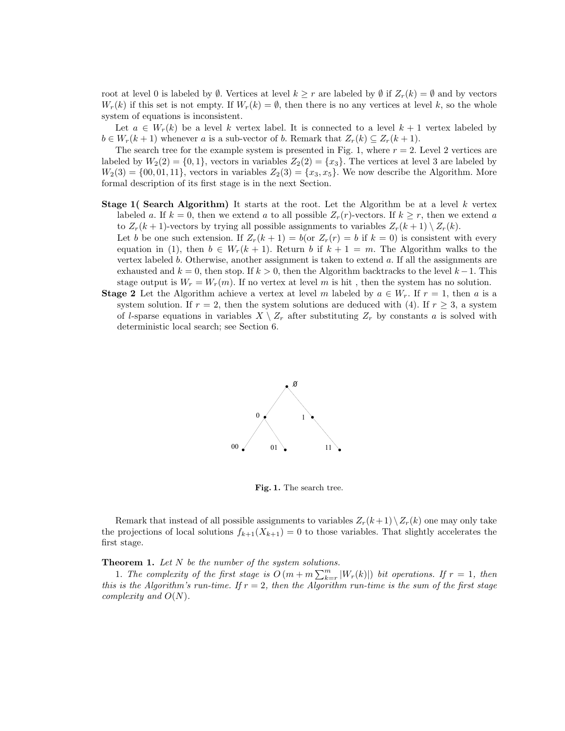root at level 0 is labeled by  $\emptyset$ . Vertices at level  $k \geq r$  are labeled by  $\emptyset$  if  $Z_r(k) = \emptyset$  and by vectors  $W_r(k)$  if this set is not empty. If  $W_r(k) = \emptyset$ , then there is no any vertices at level k, so the whole system of equations is inconsistent.

Let  $a \in W_r(k)$  be a level k vertex label. It is connected to a level  $k+1$  vertex labeled by  $b \in W_r(k+1)$  whenever a is a sub-vector of b. Remark that  $Z_r(k) \subseteq Z_r(k+1)$ .

The search tree for the example system is presented in Fig. 1, where  $r = 2$ . Level 2 vertices are labeled by  $W_2(2) = \{0, 1\}$ , vectors in variables  $Z_2(2) = \{x_3\}$ . The vertices at level 3 are labeled by  $W_2(3) = \{00, 01, 11\}$ , vectors in variables  $Z_2(3) = \{x_3, x_5\}$ . We now describe the Algorithm. More formal description of its first stage is in the next Section.

- **Stage 1( Search Algorithm)** It starts at the root. Let the Algorithm be at a level k vertex labeled a. If  $k = 0$ , then we extend a to all possible  $Z_r(r)$ -vectors. If  $k \geq r$ , then we extend a to  $Z_r(k+1)$ -vectors by trying all possible assignments to variables  $Z_r(k+1) \setminus Z_r(k)$ .
	- Let b be one such extension. If  $Z_r(k+1) = b$  (or  $Z_r(r) = b$  if  $k = 0$ ) is consistent with every equation in (1), then  $b \in W_r(k+1)$ . Return b if  $k+1 = m$ . The Algorithm walks to the vertex labeled b. Otherwise, another assignment is taken to extend  $a$ . If all the assignments are exhausted and  $k = 0$ , then stop. If  $k > 0$ , then the Algorithm backtracks to the level  $k - 1$ . This stage output is  $W_r = W_r(m)$ . If no vertex at level m is hit, then the system has no solution.
- **Stage 2** Let the Algorithm achieve a vertex at level m labeled by  $a \in W_r$ . If  $r = 1$ , then a is a system solution. If  $r = 2$ , then the system solutions are deduced with (4). If  $r \geq 3$ , a system of l-sparse equations in variables  $X \setminus Z_r$  after substituting  $Z_r$  by constants a is solved with deterministic local search; see Section 6.



Fig. 1. The search tree.

Remark that instead of all possible assignments to variables  $Z_r(k+1) \setminus Z_r(k)$  one may only take the projections of local solutions  $f_{k+1}(X_{k+1}) = 0$  to those variables. That slightly accelerates the first stage.

**Theorem 1.** Let  $N$  be the number of the system solutions.

1. The complexity of the first stage is  $O(m + m \sum_{k=r}^{m} |W_r(k)|)$  bit operations. If  $r = 1$ , then this is the Algorithm's run-time. If  $r = 2$ , then the Algorithm run-time is the sum of the first stage complexity and  $O(N)$ .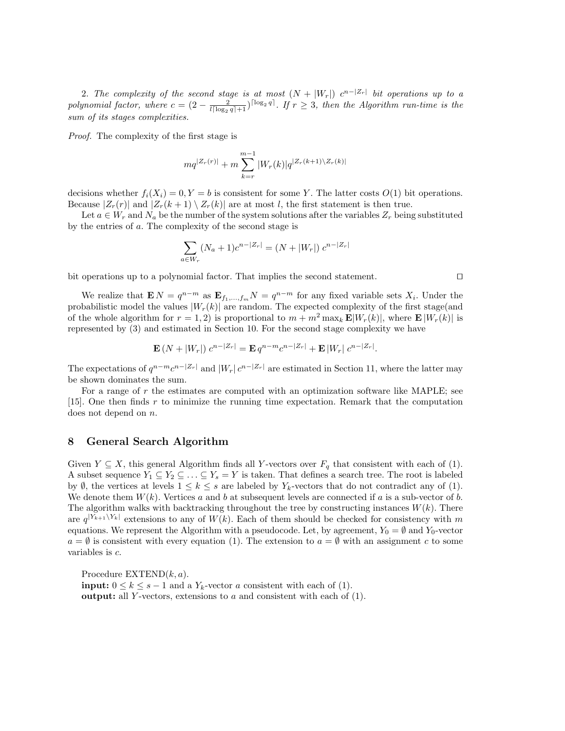2. The complexity of the second stage is at most  $(N + |W_r|)$   $c^{n-|Z_r|}$  bit operations up to a polynomial factor, where  $c = (2 - \frac{2}{l \lceil \log_2 q \rceil + 1})^{\lceil \log_2 q \rceil}$ . If  $r \geq 3$ , then the Algorithm run-time is the sum of its stages complexities.

Proof. The complexity of the first stage is

$$
mq^{|Z_r(r)|} + m \sum_{k=r}^{m-1} |W_r(k)| q^{|Z_r(k+1)\setminus Z_r(k)|}
$$

decisions whether  $f_i(X_i) = 0, Y = b$  is consistent for some Y. The latter costs  $O(1)$  bit operations. Because  $|Z_r(r)|$  and  $|Z_r(k+1) \setminus Z_r(k)|$  are at most l, the first statement is then true.

Let  $a \in W_r$  and  $N_a$  be the number of the system solutions after the variables  $Z_r$  being substituted by the entries of a. The complexity of the second stage is

$$
\sum_{a \in W_r} (N_a + 1)c^{n-|Z_r|} = (N + |W_r|) c^{n-|Z_r|}
$$

bit operations up to a polynomial factor. That implies the second statement.  $\Box$ 

We realize that  $\mathbf{E} N = q^{n-m}$  as  $\mathbf{E}_{f_1,...,f_m} N = q^{n-m}$  for any fixed variable sets  $X_i$ . Under the probabilistic model the values  $|W_r(k)|$  are random. The expected complexity of the first stage(and of the whole algorithm for  $r = 1, 2$ ) is proportional to  $m + m^2 \max_k \mathbf{E}[W_r(k)]$ , where  $\mathbf{E}[W_r(k)]$  is represented by (3) and estimated in Section 10. For the second stage complexity we have

$$
\mathbf{E}(N+|W_r|) c^{n-|Z_r|} = \mathbf{E} q^{n-m} c^{n-|Z_r|} + \mathbf{E} |W_r| c^{n-|Z_r|}.
$$

The expectations of  $q^{n-m}c^{n-|Z_r|}$  and  $|W_r|c^{n-|Z_r|}$  are estimated in Section 11, where the latter may be shown dominates the sum.

For a range of r the estimates are computed with an optimization software like MAPLE; see [15]. One then finds r to minimize the running time expectation. Remark that the computation does not depend on n.

## 8 General Search Algorithm

Given  $Y \subseteq X$ , this general Algorithm finds all Y-vectors over  $F_q$  that consistent with each of (1). A subset sequence  $Y_1 \subseteq Y_2 \subseteq \ldots \subseteq Y_s = Y$  is taken. That defines a search tree. The root is labeled by  $\emptyset$ , the vertices at levels  $1 \leq k \leq s$  are labeled by  $Y_k$ -vectors that do not contradict any of (1). We denote them  $W(k)$ . Vertices a and b at subsequent levels are connected if a is a sub-vector of b. The algorithm walks with backtracking throughout the tree by constructing instances  $W(k)$ . There are  $q^{|Y_{k+1}\setminus Y_k|}$  extensions to any of  $W(k)$ . Each of them should be checked for consistency with m equations. We represent the Algorithm with a pseudocode. Let, by agreement,  $Y_0 = \emptyset$  and  $Y_0$ -vector  $a = \emptyset$  is consistent with every equation (1). The extension to  $a = \emptyset$  with an assignment c to some variables is c.

Procedure  $\text{EXTEND}(k, a)$ . **input:**  $0 \leq k \leq s-1$  and a  $Y_k$ -vector a consistent with each of (1). **output:** all Y-vectors, extensions to a and consistent with each of  $(1)$ .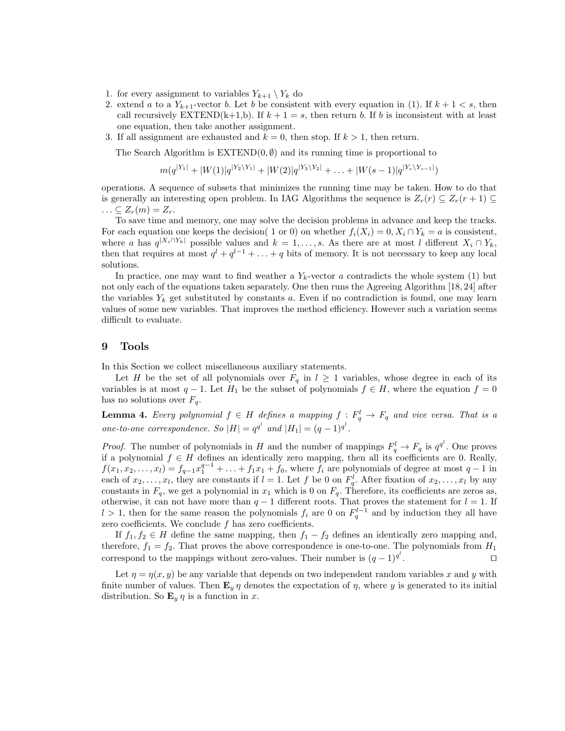- 1. for every assignment to variables  $Y_{k+1} \setminus Y_k$  do
- 2. extend a to a  $Y_{k+1}$ -vector b. Let b be consistent with every equation in (1). If  $k+1 < s$ , then call recursively EXTEND(k+1,b). If  $k + 1 = s$ , then return b. If b is inconsistent with at least one equation, then take another assignment.
- 3. If all assignment are exhausted and  $k = 0$ , then stop. If  $k > 1$ , then return.

The Search Algorithm is  $\text{EXTEND}(0, \emptyset)$  and its running time is proportional to

$$
m(q^{|Y_1|}+|W(1)|q^{|Y_2\setminus Y_1|}+|W(2)|q^{|Y_3\setminus Y_2|}+\ldots+|W(s-1)|q^{|Y_s\setminus Y_{s-1}|})
$$

operations. A sequence of subsets that minimizes the running time may be taken. How to do that is generally an interesting open problem. In IAG Algorithms the sequence is  $Z_r(r) \subseteq Z_r(r+1) \subseteq$  $\ldots \subseteq Z_r(m) = Z_r.$ 

To save time and memory, one may solve the decision problems in advance and keep the tracks. For each equation one keeps the decision( 1 or 0) on whether  $f_i(X_i) = 0, X_i \cap Y_k = a$  is consistent, where a has  $q^{|X_i \cap Y_k|}$  possible values and  $k = 1, \ldots, s$ . As there are at most l different  $X_i \cap Y_k$ , then that requires at most  $q^{l} + q^{l-1} + \ldots + q$  bits of memory. It is not necessary to keep any local solutions.

In practice, one may want to find weather a  $Y_k$ -vector a contradicts the whole system (1) but not only each of the equations taken separately. One then runs the Agreeing Algorithm [18, 24] after the variables  $Y_k$  get substituted by constants a. Even if no contradiction is found, one may learn values of some new variables. That improves the method efficiency. However such a variation seems difficult to evaluate.

### 9 Tools

In this Section we collect miscellaneous auxiliary statements.

Let H be the set of all polynomials over  $F_q$  in  $l \geq 1$  variables, whose degree in each of its variables is at most  $q-1$ . Let  $H_1$  be the subset of polynomials  $f \in H$ , where the equation  $f = 0$ has no solutions over  $F_q$ .

**Lemma 4.** Every polynomial  $f \in H$  defines a mapping  $f : F_q^l \to F_q$  and vice versa. That is a one-to-one correspondence. So  $|H| = q^{q^l}$  and  $|H_1| = (q-1)^{q^l}$ .

*Proof.* The number of polynomials in H and the number of mappings  $F_q^l \to F_q$  is  $q^{q^l}$ . One proves if a polynomial  $f \in H$  defines an identically zero mapping, then all its coefficients are 0. Really,  $f(x_1, x_2, \ldots, x_l) = f_{q-1}x_1^{q-1} + \ldots + f_1x_1 + f_0$ , where  $f_i$  are polynomials of degree at most  $q-1$  in each of  $x_2, \ldots, x_l$ , they are constants if  $l = 1$ . Let f be 0 on  $F_q^l$ . After fixation of  $x_2, \ldots, x_l$  by any constants in  $F_q$ , we get a polynomial in  $x_1$  which is 0 on  $F_q$ . Therefore, its coefficients are zeros as, otherwise, it can not have more than  $q-1$  different roots. That proves the statement for  $l=1$ . If  $l > 1$ , then for the same reason the polynomials  $f_i$  are 0 on  $F_q^{l-1}$  and by induction they all have zero coefficients. We conclude  $f$  has zero coefficients.

If  $f_1, f_2 \in H$  define the same mapping, then  $f_1 - f_2$  defines an identically zero mapping and, therefore,  $f_1 = f_2$ . That proves the above correspondence is one-to-one. The polynomials from  $H_1$ correspond to the mappings without zero-values. Their number is  $(q-1)^{q^l}$ . The contract of  $\Box$ 

Let  $\eta = \eta(x, y)$  be any variable that depends on two independent random variables x and y with finite number of values. Then  $\mathbf{E}_y \eta$  denotes the expectation of  $\eta$ , where y is generated to its initial distribution. So  $\mathbf{E}_y \eta$  is a function in x.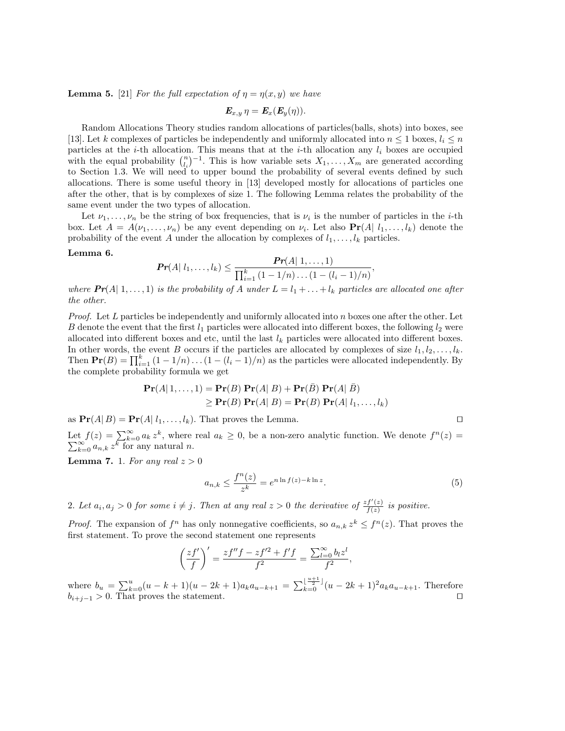**Lemma 5.** [21] For the full expectation of  $\eta = \eta(x, y)$  we have

$$
\boldsymbol{E}_{x,y}\,\eta=\boldsymbol{E}_x(\boldsymbol{E}_y(\eta)).
$$

Random Allocations Theory studies random allocations of particles(balls, shots) into boxes, see [13]. Let k complexes of particles be independently and uniformly allocated into  $n \leq 1$  boxes,  $l_i \leq n$ particles at the *i*-th allocation. This means that at the *i*-th allocation any  $l_i$  boxes are occupied with the equal probability  $\binom{n}{i}$ -1. This is how variable sets  $X_1, \ldots, X_m$  are generated according to Section 1.3. We will need to upper bound the probability of several events defined by such allocations. There is some useful theory in [13] developed mostly for allocations of particles one after the other, that is by complexes of size 1. The following Lemma relates the probability of the same event under the two types of allocation.

Let  $\nu_1, \ldots, \nu_n$  be the string of box frequencies, that is  $\nu_i$  is the number of particles in the *i*-th box. Let  $A = A(\nu_1, \ldots, \nu_n)$  be any event depending on  $\nu_i$ . Let also  $\Pr(A | l_1, \ldots, l_k)$  denote the probability of the event A under the allocation by complexes of  $l_1, \ldots, l_k$  particles.

#### Lemma 6.

$$
\Pr(A| l_1,\ldots,l_k) \leq \frac{\Pr(A| 1,\ldots,1)}{\prod_{i=1}^k (1-1/n)\ldots(1-(l_i-1)/n)},
$$

where  $Pr(A | 1, ..., 1)$  is the probability of A under  $L = l_1 + ... + l_k$  particles are allocated one after the other.

*Proof.* Let L particles be independently and uniformly allocated into n boxes one after the other. Let B denote the event that the first  $l_1$  particles were allocated into different boxes, the following  $l_2$  were allocated into different boxes and etc, until the last  $l_k$  particles were allocated into different boxes. In other words, the event B occurs if the particles are allocated by complexes of size  $l_1, l_2, \ldots, l_k$ . Then  $Pr(B) = \prod_{i=1}^{k} (1 - 1/n) \dots (1 - (l_i - 1)/n)$  as the particles were allocated independently. By the complete probability formula we get

$$
\mathbf{Pr}(A|1,\ldots,1) = \mathbf{Pr}(B)\,\mathbf{Pr}(A|\,B) + \mathbf{Pr}(\bar{B})\,\mathbf{Pr}(A|\,\bar{B})
$$
  
\n
$$
\geq \mathbf{Pr}(B)\,\mathbf{Pr}(A|\,B) = \mathbf{Pr}(B)\,\mathbf{Pr}(A|\,l_1,\ldots,l_k)
$$

as  $Pr(A|B) = Pr(A|l_1, \ldots, l_k)$ . That proves the Lemma.  $\square$ 

Let  $f(z) = \sum_{k=0}^{\infty} a_k z^k$ , where real  $a_k \geq 0$ , be a non-zero analytic function. We denote  $f^n$ P  $f(z) = \sum_{k=0}^{\infty} a_k z^k$ , where real  $a_k \ge 0$ , be a non-zero analytic function. We denote  $f^{(n)}(z) = \sum_{k=0}^{\infty} a_{n,k} z^k$  for any natural n.

**Lemma 7.** 1. For any real  $z > 0$ 

$$
a_{n,k} \le \frac{f^n(z)}{z^k} = e^{n \ln f(z) - k \ln z}.
$$
\n<sup>(5)</sup>

2. Let  $a_i, a_j > 0$  for some  $i \neq j$ . Then at any real  $z > 0$  the derivative of  $\frac{zf'(z)}{f(z)}$  $\frac{f(z)}{f(z)}$  is positive.

*Proof.* The expansion of  $f^n$  has only nonnegative coefficients, so  $a_{n,k} z^k \leq f^n(z)$ . That proves the first statement. To prove the second statement one represents

$$
\left(\frac{zf'}{f}\right)' = \frac{zf''f - zf'^2 + f'f}{f^2} = \frac{\sum_{l=0}^{\infty} b_l z^l}{f^2},
$$

where  $b_u = \sum_{k=0}^{u} (u - k + 1)(u - 2k + 1)a_k a_{u-k+1} = \sum_{k=0}^{\lfloor \frac{u+1}{2} \rfloor} (u - 2k + 1)^2 a_k a_{u-k+1}$ . Therefore  $b_{i+j-1} > 0$ . That proves the statement.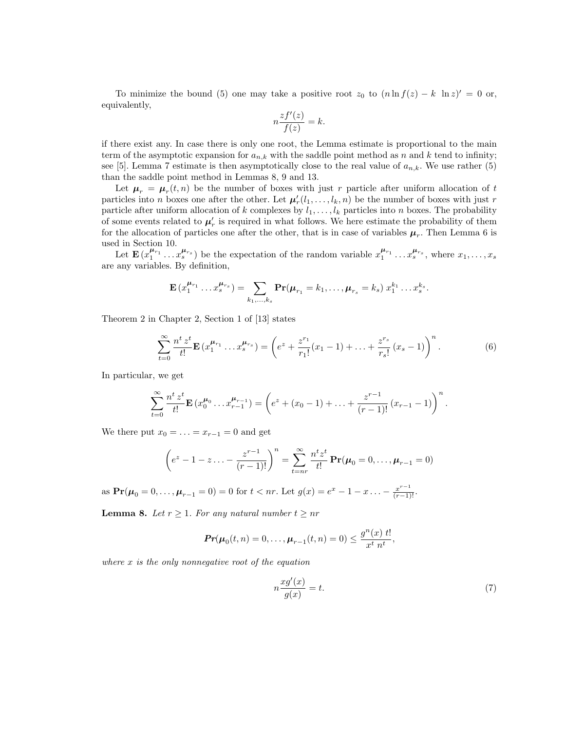To minimize the bound (5) one may take a positive root  $z_0$  to  $(n \ln f(z) - k \ln z)' = 0$  or, equivalently,

$$
n\frac{zf'(z)}{f(z)} = k.
$$

if there exist any. In case there is only one root, the Lemma estimate is proportional to the main term of the asymptotic expansion for  $a_{n,k}$  with the saddle point method as n and k tend to infinity; see [5]. Lemma 7 estimate is then asymptotically close to the real value of  $a_{n,k}$ . We use rather (5) than the saddle point method in Lemmas 8, 9 and 13.

Let  $\mu_r = \mu_r(t,n)$  be the number of boxes with just r particle after uniform allocation of t particles into n boxes one after the other. Let  $\mu'_r(l_1,\ldots,l_k,n)$  be the number of boxes with just r particle after uniform allocation of k complexes by  $l_1, \ldots, l_k$  particles into n boxes. The probability of some events related to  $\mu'_r$  is required in what follows. We here estimate the probability of them for the allocation of particles one after the other, that is in case of variables  $\mu_r$ . Then Lemma 6 is used in Section 10.

Let  $\mathbf{E}(x_1^{\mu_{r_1}} \dots x_s^{\mu_{r_s}})$  be the expectation of the random variable  $x_1^{\mu_{r_1}} \dots x_s^{\mu_{r_s}}$ , where  $x_1, \dots, x_s$ are any variables. By definition,

$$
\mathbf{E}(x_1^{\mu_{r_1}}\dots x_s^{\mu_{r_s}})=\sum_{k_1,\dots,k_s}\mathbf{Pr}(\mu_{r_1}=k_1,\dots,\mu_{r_s}=k_s)\;x_1^{k_1}\dots x_s^{k_s}
$$

Theorem 2 in Chapter 2, Section 1 of [13] states

$$
\sum_{t=0}^{\infty} \frac{n^t \, z^t}{t!} \mathbf{E} \left( x_1^{\mu_{r_1}} \dots x_s^{\mu_{r_s}} \right) = \left( e^z + \frac{z^{r_1}}{r_1!} (x_1 - 1) + \dots + \frac{z^{r_s}}{r_s!} (x_s - 1) \right)^n. \tag{6}
$$

In particular, we get

$$
\sum_{t=0}^{\infty} \frac{n^t \, z^t}{t!} \mathbf{E} \left( x_0^{\mu_0} \dots x_{r-1}^{\mu_{r-1}} \right) = \left( e^z + (x_0 - 1) + \dots + \frac{z^{r-1}}{(r-1)!} \left( x_{r-1} - 1 \right) \right)^n.
$$

We there put  $x_0 = \ldots = x_{r-1} = 0$  and get

$$
\left(e^{z}-1-z\ldots-\frac{z^{r-1}}{(r-1)!}\right)^{n}=\sum_{t=nr}^{\infty}\frac{n^{t}z^{t}}{t!}\mathbf{Pr}(\mu_{0}=0,\ldots,\mu_{r-1}=0)
$$

as  $\mathbf{Pr}(\mu_0 = 0, ..., \mu_{r-1} = 0) = 0$  for  $t < nr$ . Let  $g(x) = e^x - 1 - x ... - \frac{x^{r-1}}{(r-1)!}$ .

**Lemma 8.** Let  $r \geq 1$ . For any natural number  $t \geq nr$ 

$$
\Pr(\mu_0(t,n) = 0, \dots, \mu_{r-1}(t,n) = 0) \le \frac{g^n(x) \ t!}{x^t \ n^t},
$$

where  $x$  is the only nonnegative root of the equation

$$
n\frac{xg'(x)}{g(x)} = t.\t\t(7)
$$

.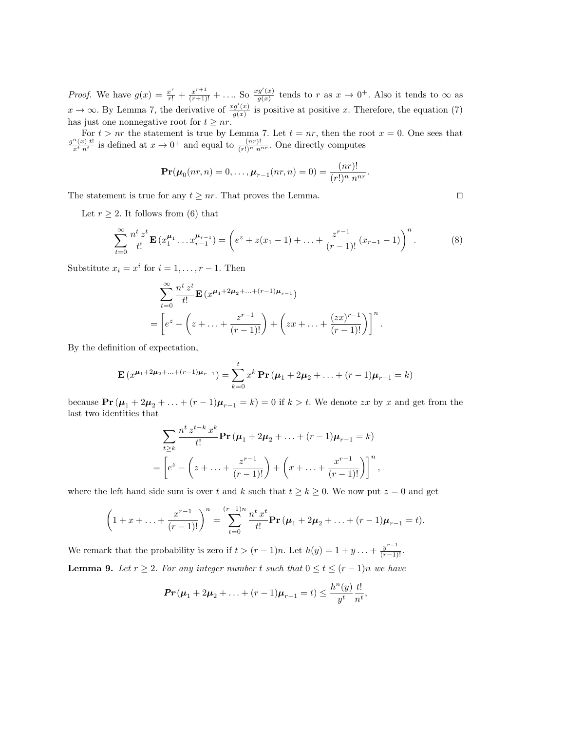*Proof.* We have  $g(x) = \frac{x^r}{r!} + \frac{x^{r+1}}{(r+1)!} + \ldots$  So  $\frac{xg'(x)}{g(x)}$  $\frac{g'(x)}{g(x)}$  tends to r as  $x \to 0^+$ . Also it tends to  $\infty$  as  $x \to \infty$ . By Lemma 7, the derivative of  $\frac{x g'(x)}{g(x)}$  $\frac{g(x)}{g(x)}$  is positive at positive x. Therefore, the equation (7) has just one nonnegative root for  $t \geq nr$ .

For  $t > nr$  the statement is true by Lemma 7. Let  $t = nr$ , then the root  $x = 0$ . One sees that  $g^{n}(x)$  t! is defined at  $x \to 0^+$  and sound to  $(nr)!$ . One directly semplites  $\frac{n(x) t!}{x^t n^t}$  is defined at  $x \to 0^+$  and equal to  $\frac{(nr)!}{(r!)^n n^{nr}}$ . One directly computes

$$
\mathbf{Pr}(\boldsymbol{\mu}_0(nr,n) = 0,\ldots,\boldsymbol{\mu}_{r-1}(nr,n) = 0) = \frac{(nr)!}{(r!)^n \; n^{nr}}.
$$

The statement is true for any  $t \geq nr$ . That proves the Lemma.  $\square$ 

Let  $r \geq 2$ . It follows from (6) that

$$
\sum_{t=0}^{\infty} \frac{n^t z^t}{t!} \mathbf{E} (x_1^{\mu_1} \dots x_{r-1}^{\mu_{r-1}}) = \left( e^z + z(x_1 - 1) + \dots + \frac{z^{r-1}}{(r-1)!} (x_{r-1} - 1) \right)^n.
$$
 (8)

Substitute  $x_i = x^i$  for  $i = 1, ..., r - 1$ . Then

$$
\sum_{t=0}^{\infty} \frac{n^t z^t}{t!} \mathbf{E} (x^{\mu_1+2\mu_2+\dots+(r-1)\mu_{r-1}})
$$
  
=  $\left[ e^z - \left( z + \dots + \frac{z^{r-1}}{(r-1)!} \right) + \left( zx + \dots + \frac{(zx)^{r-1}}{(r-1)!} \right) \right]^n$ .

By the definition of expectation,

$$
\mathbf{E}\left(x^{\mu_1+2\mu_2+\ldots+(r-1)\mu_{r-1}}\right) = \sum_{k=0}^{t} x^k \mathbf{Pr}\left(\mu_1+2\mu_2+\ldots+(r-1)\mu_{r-1}=k\right)
$$

because  $\Pr(\mu_1 + 2\mu_2 + \ldots + (r-1)\mu_{r-1} = k) = 0$  if  $k > t$ . We denote zx by x and get from the last two identities that

$$
\sum_{t\geq k} \frac{n^t z^{t-k} x^k}{t!} \mathbf{Pr}(\mu_1 + 2\mu_2 + \dots + (r-1)\mu_{r-1} = k)
$$
  
=  $\left[ e^z - \left( z + \dots + \frac{z^{r-1}}{(r-1)!} \right) + \left( x + \dots + \frac{x^{r-1}}{(r-1)!} \right) \right]^n$ ,

where the left hand side sum is over t and k such that  $t \geq k \geq 0$ . We now put  $z = 0$  and get

$$
\left(1+x+\ldots+\frac{x^{r-1}}{(r-1)!}\right)^n=\sum_{t=0}^{(r-1)n}\frac{n^t x^t}{t!}\mathbf{Pr}\left(\mu_1+2\mu_2+\ldots+(r-1)\mu_{r-1}=t\right).
$$

We remark that the probability is zero if  $t > (r-1)n$ . Let  $h(y) = 1 + y \dots + \frac{y^{r-1}}{(r-1)!}$ . **Lemma 9.** Let  $r \geq 2$ . For any integer number t such that  $0 \leq t \leq (r-1)n$  we have

$$
Pr(\mu_1 + 2\mu_2 + \ldots + (r-1)\mu_{r-1} = t) \le \frac{h^n(y)}{y^t} \frac{t!}{n^t},
$$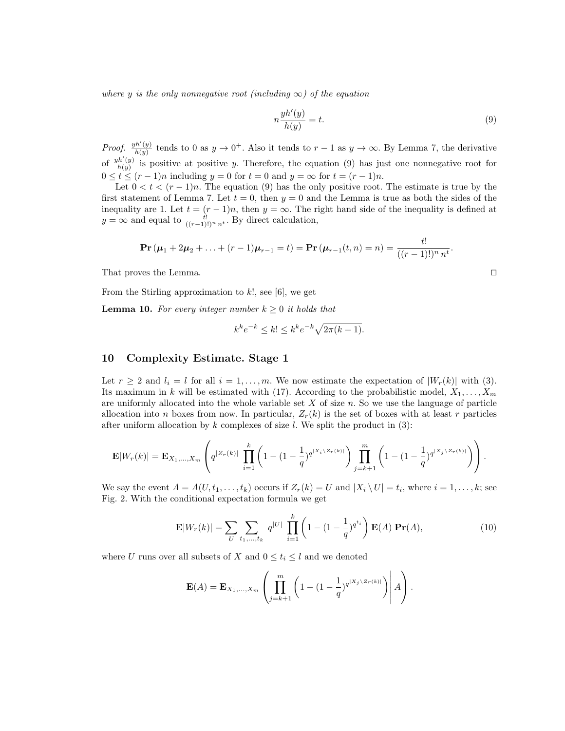where y is the only nonnegative root (including  $\infty$ ) of the equation

$$
n\frac{yh'(y)}{h(y)} = t.\t\t(9)
$$

Proof.  $\frac{yh'(y)}{h(y)}$  $\frac{h'(y)}{h(y)}$  tends to 0 as  $y \to 0^+$ . Also it tends to  $r-1$  as  $y \to \infty$ . By Lemma 7, the derivative of  $\frac{yh'(y)}{h(y)}$  $\frac{h(y)}{h(y)}$  is positive at positive y. Therefore, the equation (9) has just one nonnegative root for  $0 \le t \le (r-1)n$  including  $y = 0$  for  $t = 0$  and  $y = \infty$  for  $t = (r-1)n$ .

Let  $0 < t < (r-1)n$ . The equation (9) has the only positive root. The estimate is true by the first statement of Lemma 7. Let  $t = 0$ , then  $y = 0$  and the Lemma is true as both the sides of the inequality are 1. Let  $t = (r-1)n$ , then  $y = \infty$ . The right hand side of the inequality is defined at  $y = \infty$  and equal to  $\frac{t!}{((r-1)!)^n n^t}$ . By direct calculation,

$$
\mathbf{Pr}(\boldsymbol{\mu}_1 + 2\boldsymbol{\mu}_2 + \ldots + (r-1)\boldsymbol{\mu}_{r-1} = t) = \mathbf{Pr}(\boldsymbol{\mu}_{r-1}(t,n) = n) = \frac{t!}{((r-1)!)^n n^t}.
$$

That proves the Lemma.

From the Stirling approximation to  $k!$ , see [6], we get

**Lemma 10.** For every integer number  $k \geq 0$  it holds that

$$
k^{k}e^{-k} \leq k! \leq k^{k}e^{-k}\sqrt{2\pi(k+1)}.
$$

### 10 Complexity Estimate. Stage 1

Let  $r \geq 2$  and  $l_i = l$  for all  $i = 1, \ldots, m$ . We now estimate the expectation of  $|W_r(k)|$  with (3). Its maximum in k will be estimated with (17). According to the probabilistic model,  $X_1, \ldots, X_m$ are uniformly allocated into the whole variable set  $X$  of size  $n$ . So we use the language of particle allocation into n boxes from now. In particular,  $Z_r(k)$  is the set of boxes with at least r particles after uniform allocation by  $k$  complexes of size  $l$ . We split the product in (3):

$$
\mathbf{E}|W_r(k)| = \mathbf{E}_{X_1,...,X_m} \left( q^{|Z_r(k)|} \prod_{i=1}^k \left( 1 - (1 - \frac{1}{q})^{q^{|X_i \setminus Z_r(k)|}} \right) \prod_{j=k+1}^m \left( 1 - (1 - \frac{1}{q})^{q^{|X_j \setminus Z_r(k)|}} \right) \right).
$$

We say the event  $A = A(U, t_1, \ldots, t_k)$  occurs if  $Z_r(k) = U$  and  $|X_i \setminus U| = t_i$ , where  $i = 1, \ldots, k$ ; see Fig. 2. With the conditional expectation formula we get

$$
\mathbf{E}|W_r(k)| = \sum_{U} \sum_{t_1,\dots,t_k} q^{|U|} \prod_{i=1}^k \left(1 - (1 - \frac{1}{q})^{q^{t_i}}\right) \mathbf{E}(A) \mathbf{Pr}(A), \tag{10}
$$

where U runs over all subsets of X and  $0 \leq t_i \leq l$  and we denoted

$$
\mathbf{E}(A) = \mathbf{E}_{X_1,...,X_m} \left( \prod_{j=k+1}^m \left( 1 - (1 - \frac{1}{q})^{q^{|X_j \setminus Z_r(k)|}} \right) \middle| A \right).
$$

$$
\qquad \qquad \Box
$$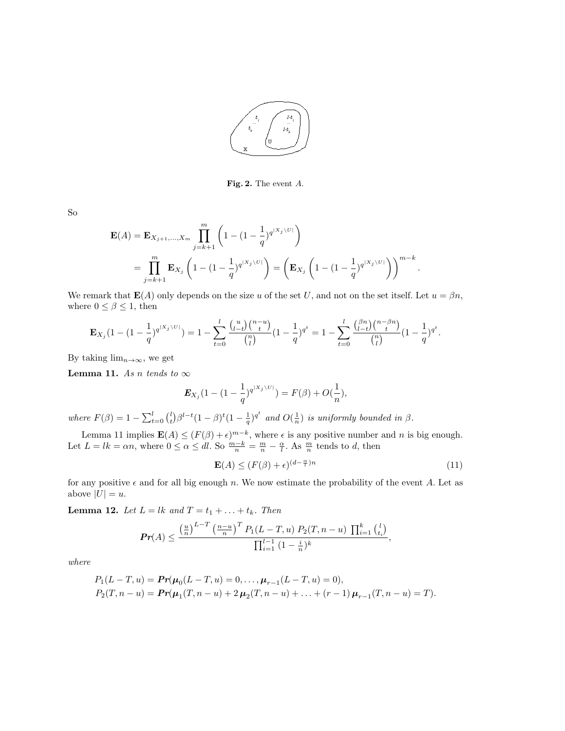

Fig. 2. The event A.

So

$$
\mathbf{E}(A) = \mathbf{E}_{X_{j+1},...,X_m} \prod_{j=k+1}^m \left( 1 - (1 - \frac{1}{q})^{q^{\lfloor X_j \setminus U \rfloor}} \right)
$$
  
= 
$$
\prod_{j=k+1}^m \mathbf{E}_{X_j} \left( 1 - (1 - \frac{1}{q})^{q^{\lfloor X_j \setminus U \rfloor}} \right) = \left( \mathbf{E}_{X_j} \left( 1 - (1 - \frac{1}{q})^{q^{\lfloor X_j \setminus U \rfloor}} \right) \right)^{m-k}.
$$

We remark that  $\mathbf{E}(A)$  only depends on the size u of the set U, and not on the set itself. Let  $u = \beta n$ , where  $0 \leq \beta \leq 1$ , then

$$
\mathbf{E}_{X_j}(1-(1-\frac{1}{q})^{q^{\lfloor X_j\backslash U \rfloor}})=1-\sum_{t=0}^l\frac{{n\choose l-t}{n-u\choose t}}{{n\choose l}}(1-\frac{1}{q})^{q^t}=1-\sum_{t=0}^l\frac{{\beta n\choose l-t}{n-\beta n\choose t}}{{n\choose l}}(1-\frac{1}{q})^{q^t}.
$$

By taking  $\lim_{n\to\infty}$ , we get

**Lemma 11.** As n tends to  $\infty$ 

$$
\mathbf{E}_{X_j}(1-(1-\frac{1}{q})^{q^{\lfloor X_j\setminus U \rfloor}})=F(\beta)+O(\frac{1}{n}),
$$

where  $F(\beta) = 1 - \sum_{t=0}^{l} {l \choose t} \beta^{l-t} (1-\beta)^t (1-\frac{1}{q})^{q^t}$  and  $O(\frac{1}{n})$  is uniformly bounded in  $\beta$ .

Lemma 11 implies  $\mathbf{E}(A) \leq (F(\beta) + \epsilon)^{m-k}$ , where  $\epsilon$  is any positive number and n is big enough. Let  $L = lk = \alpha n$ , where  $0 \leq \alpha \leq dl$ . So  $\frac{m-k}{n} = \frac{m}{n} - \frac{\alpha}{l}$ . As  $\frac{m}{n}$  tends to d, then

$$
\mathbf{E}(A) \le (F(\beta) + \epsilon)^{(d - \frac{\alpha}{t})n} \tag{11}
$$

for any positive  $\epsilon$  and for all big enough n. We now estimate the probability of the event A. Let as above  $|U| = u$ .

**Lemma 12.** Let  $L = lk$  and  $T = t_1 + ... + t_k$ . Then

$$
\Pr(A) \le \frac{\left(\frac{u}{n}\right)^{L-T} \left(\frac{n-u}{n}\right)^T P_1(L-T,u) P_2(T,n-u) \prod_{i=1}^k {l \choose i_i}}{\prod_{i=1}^{l-1} (1-\frac{i}{n})^k},
$$

where

$$
P_1(L-T, u) = \mathbf{Pr}(\mu_0(L-T, u) = 0, \dots, \mu_{r-1}(L-T, u) = 0),
$$
  
\n
$$
P_2(T, n-u) = \mathbf{Pr}(\mu_1(T, n-u) + 2\mu_2(T, n-u) + \dots + (r-1)\mu_{r-1}(T, n-u) = T).
$$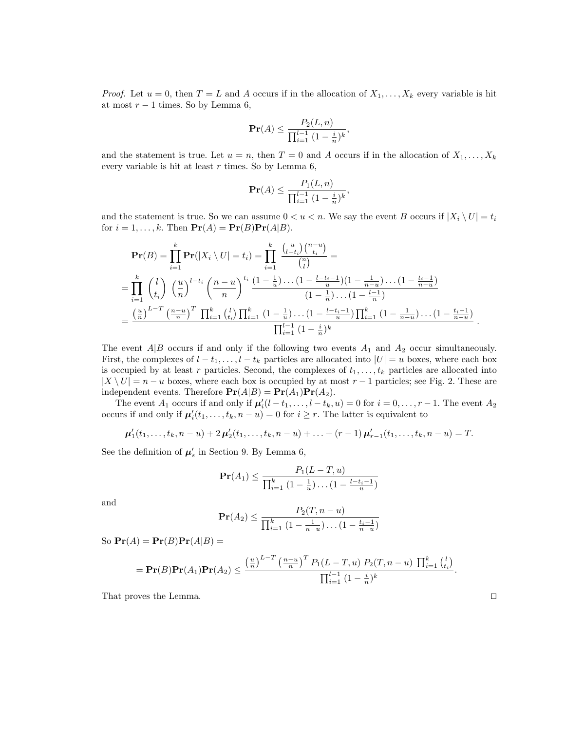*Proof.* Let  $u = 0$ , then  $T = L$  and A occurs if in the allocation of  $X_1, \ldots, X_k$  every variable is hit at most  $r − 1$  times. So by Lemma 6,

$$
\mathbf{Pr}(A) \le \frac{P_2(L, n)}{\prod_{i=1}^{l-1} (1 - \frac{i}{n})^k},
$$

and the statement is true. Let  $u = n$ , then  $T = 0$  and A occurs if in the allocation of  $X_1, \ldots, X_k$ every variable is hit at least  $r$  times. So by Lemma 6,

$$
\mathbf{Pr}(A) \le \frac{P_1(L, n)}{\prod_{i=1}^{l-1} (1 - \frac{i}{n})^k},
$$

and the statement is true. So we can assume  $0 < u < n$ . We say the event B occurs if  $|X_i \setminus U| = t_i$ for  $i = 1, ..., k$ . Then  $\Pr(A) = \Pr(B)\Pr(A|B)$ .

$$
\mathbf{Pr}(B) = \prod_{i=1}^{k} \mathbf{Pr}(|X_i \setminus U| = t_i) = \prod_{i=1}^{k} \frac{\binom{u}{l-t_i} \binom{n-u}{t_i}}{\binom{n}{l}} =
$$
\n
$$
= \prod_{i=1}^{k} \binom{l}{t_i} \left(\frac{u}{n}\right)^{l-t_i} \left(\frac{n-u}{n}\right)^{t_i} \frac{\left(1-\frac{1}{u}\right) \dots \left(1-\frac{l-t_i-1}{u}\right) \left(1-\frac{1}{n-u}\right) \dots \left(1-\frac{t_i-1}{n-u}\right)}{\left(1-\frac{1}{u}\right) \dots \left(1-\frac{l-t_i-1}{n}\right)}
$$
\n
$$
= \frac{\left(\frac{u}{n}\right)^{L-T} \left(\frac{n-u}{n}\right)^{T} \prod_{i=1}^{k} \binom{l}{t_i} \prod_{i=1}^{k} \frac{\left(1-\frac{1}{u}\right) \dots \left(1-\frac{l-t_i-1}{u}\right) \prod_{i=1}^{k} \left(1-\frac{1}{n-u}\right) \dots \left(1-\frac{t_i-1}{n-u}\right)}{\prod_{i=1}^{l-1} \left(1-\frac{i}{n}\right)^{k}}.
$$

The event  $A|B$  occurs if and only if the following two events  $A_1$  and  $A_2$  occur simultaneously. First, the complexes of  $l - t_1, \ldots, l - t_k$  particles are allocated into  $|U| = u$  boxes, where each box is occupied by at least r particles. Second, the complexes of  $t_1, \ldots, t_k$  particles are allocated into  $|X \setminus U| = n - u$  boxes, where each box is occupied by at most  $r - 1$  particles; see Fig. 2. These are independent events. Therefore  $\mathbf{Pr}(A|B) = \mathbf{Pr}(A_1)\mathbf{Pr}(A_2)$ .

The event  $A_1$  occurs if and only if  $\mu'_i(l-t_1,\ldots,l-t_k,u)=0$  for  $i=0,\ldots,r-1$ . The event  $A_2$ occurs if and only if  $\mu'_i(t_1,\ldots,t_k,n-u)=0$  for  $i\geq r$ . The latter is equivalent to

 $\mu'_1(t_1,\ldots,t_k,n-u)+2\,\mu'_2(t_1,\ldots,t_k,n-u)+\ldots+(r-1)\,\mu'_{r-1}(t_1,\ldots,t_k,n-u)=T.$ 

See the definition of  $\mu_s'$  in Section 9. By Lemma 6,

$$
\mathbf{Pr}(A_1) \le \frac{P_1(L-T, u)}{\prod_{i=1}^k (1 - \frac{1}{u}) \dots (1 - \frac{l-t_i - 1}{u})}
$$

and

$$
\mathbf{Pr}(A_2) \le \frac{P_2(T, n - u)}{\prod_{i=1}^k (1 - \frac{1}{n - u}) \dots (1 - \frac{t_i - 1}{n - u})}
$$

So  $\Pr(A) = \Pr(B)\Pr(A|B) =$ 

$$
= \mathbf{Pr}(B)\mathbf{Pr}(A_1)\mathbf{Pr}(A_2) \le \frac{\left(\frac{u}{n}\right)^{L-T} \left(\frac{n-u}{n}\right)^T P_1(L-T,u) P_2(T,n-u) \prod_{i=1}^k {l \choose i_i}}{\prod_{i=1}^{l-1} (1-\frac{i}{n})^k}.
$$

That proves the Lemma.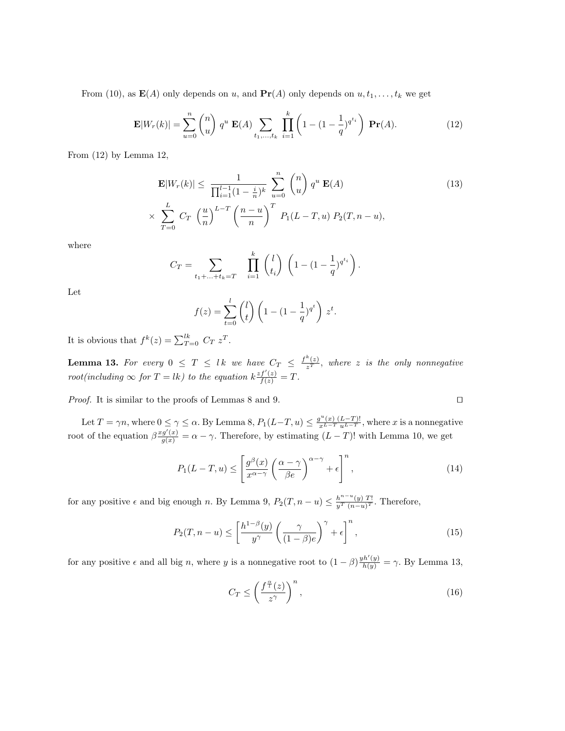From (10), as  $\mathbf{E}(A)$  only depends on u, and  $\mathbf{Pr}(A)$  only depends on  $u, t_1, \ldots, t_k$  we get

$$
\mathbf{E}|W_r(k)| = \sum_{u=0}^n \binom{n}{u} q^u \mathbf{E}(A) \sum_{t_1,\dots,t_k} \prod_{i=1}^k \left(1 - (1 - \frac{1}{q})^{q^{t_i}}\right) \mathbf{Pr}(A).
$$
 (12)

From (12) by Lemma 12,

$$
\mathbf{E}|W_r(k)| \leq \frac{1}{\prod_{i=1}^{l-1} (1 - \frac{i}{n})^k} \sum_{u=0}^n \binom{n}{u} q^u \mathbf{E}(A)
$$
(13)  

$$
\times \sum_{T=0}^L C_T \left(\frac{u}{n}\right)^{L-T} \left(\frac{n-u}{n}\right)^T P_1(L-T, u) P_2(T, n-u),
$$

where

$$
C_T = \sum_{t_1 + \dots + t_k = T} \prod_{i=1}^k {l \choose t_i} \left( 1 - (1 - \frac{1}{q})^{q^{t_i}} \right).
$$

Let

$$
f(z) = \sum_{t=0}^{l} {l \choose t} \left( 1 - (1 - \frac{1}{q})^{q^t} \right) z^t.
$$

It is obvious that  $f^k(z) = \sum_{T=0}^{lk} C_T z^T$ .

**Lemma 13.** For every  $0 \leq T \leq lk$  we have  $C_T \leq \frac{f^k(z)}{z^T}$ , where z is the only nonnegative root(including  $\infty$  for  $T = lk$ ) to the equation  $k \frac{zf'(z)}{f(z)} = T$ .

*Proof.* It is similar to the proofs of Lemmas 8 and 9.  $\Box$ 

Let  $T = \gamma n$ , where  $0 \le \gamma \le \alpha$ . By Lemma 8,  $P_1(L-T, u) \le \frac{g^u(x) (L-T)!}{x^{L-T} u^{L-T}}$ , where x is a nonnegative root of the equation  $\beta \frac{x g'(x)}{g(x)} = \alpha - \gamma$ . Therefore, by estimating  $(L-T)!$  with Lemma 10, we get

$$
P_1(L-T, u) \le \left[ \frac{g^{\beta}(x)}{x^{\alpha - \gamma}} \left( \frac{\alpha - \gamma}{\beta e} \right)^{\alpha - \gamma} + \epsilon \right]^n, \tag{14}
$$

for any positive  $\epsilon$  and big enough n. By Lemma 9,  $P_2(T, n - u) \leq \frac{h^{n-u}(y)}{y^T (n-u)^T}$ . Therefore,

$$
P_2(T, n - u) \le \left[\frac{h^{1-\beta}(y)}{y^{\gamma}} \left(\frac{\gamma}{(1-\beta)e}\right)^{\gamma} + \epsilon\right]^n, \tag{15}
$$

for any positive  $\epsilon$  and all big n, where y is a nonnegative root to  $(1-\beta)\frac{y h'(y)}{h(y)} = \gamma$ . By Lemma 13,

$$
C_T \le \left(\frac{f^{\frac{\alpha}{l}}(z)}{z^{\gamma}}\right)^n,\tag{16}
$$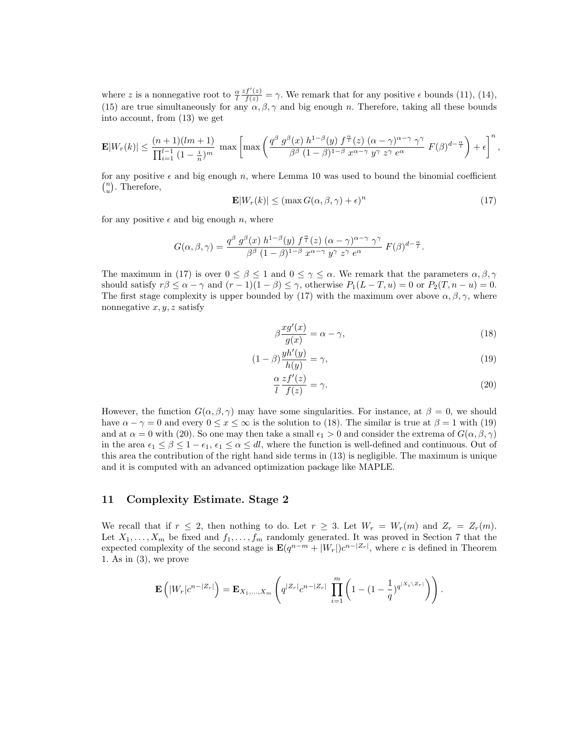where z is a nonnegative root to  $\frac{\alpha}{l}$  $\frac{zf'(z)}{f(z)} = \gamma$ . We remark that for any positive  $\epsilon$  bounds (11), (14), (15) are true simultaneously for any  $\alpha, \beta, \gamma$  and big enough n. Therefore, taking all these bounds into account, from (13) we get

$$
\mathbf{E}|W_r(k)| \leq \frac{(n+1)(lm+1)}{\prod_{i=1}^{l-1} (1-\frac{i}{n})^m} \max\left[\max\left(\frac{q^{\beta} g^{\beta}(x) h^{1-\beta}(y) f^{\frac{\alpha}{l}}(z) (\alpha-\gamma)^{\alpha-\gamma} \gamma^{\gamma}}{\beta^{\beta} (1-\beta)^{1-\beta} x^{\alpha-\gamma} y^{\gamma} z^{\gamma} e^{\alpha}} F(\beta)^{d-\frac{\alpha}{l}}\right) + \epsilon\right]^n,
$$

for any positive  $\epsilon$  and big enough n, where Lemma 10 was used to bound the binomial coefficient  $\binom{n}{u}$ . Therefore,

$$
\mathbf{E}|W_r(k)| \le (\max G(\alpha, \beta, \gamma) + \epsilon)^n \tag{17}
$$

for any positive  $\epsilon$  and big enough n, where

$$
G(\alpha, \beta, \gamma) = \frac{q^{\beta} g^{\beta}(x) h^{1-\beta}(y) f^{\frac{\alpha}{l}}(z) (\alpha - \gamma)^{\alpha - \gamma} \gamma^{\gamma}}{\beta^{\beta} (1-\beta)^{1-\beta} x^{\alpha - \gamma} y^{\gamma} z^{\gamma} e^{\alpha}} F(\beta)^{d-\frac{\alpha}{l}}.
$$

The maximum in (17) is over  $0 \le \beta \le 1$  and  $0 \le \gamma \le \alpha$ . We remark that the parameters  $\alpha, \beta, \gamma$ should satisfy  $r\beta \leq \alpha - \gamma$  and  $(r - 1)(1 - \beta) \leq \gamma$ , otherwise  $P_1(L - T, u) = 0$  or  $P_2(T, n - u) = 0$ . The first stage complexity is upper bounded by (17) with the maximum over above  $\alpha, \beta, \gamma$ , where nonnegative  $x, y, z$  satisfy

$$
\beta \frac{x g'(x)}{g(x)} = \alpha - \gamma,\tag{18}
$$

$$
(1 - \beta) \frac{yh'(y)}{h(y)} = \gamma,\t\t(19)
$$

$$
\frac{\alpha}{l}\frac{zf'(z)}{f(z)} = \gamma.
$$
\n(20)

However, the function  $G(\alpha, \beta, \gamma)$  may have some singularities. For instance, at  $\beta = 0$ , we should have  $\alpha - \gamma = 0$  and every  $0 \le x \le \infty$  is the solution to (18). The similar is true at  $\beta = 1$  with (19) and at  $\alpha = 0$  with (20). So one may then take a small  $\epsilon_1 > 0$  and consider the extrema of  $G(\alpha, \beta, \gamma)$ in the area  $\epsilon_1 \leq \beta \leq 1 - \epsilon_1$ ,  $\epsilon_1 \leq \alpha \leq dl$ , where the function is well-defined and continuous. Out of this area the contribution of the right hand side terms in (13) is negligible. The maximum is unique and it is computed with an advanced optimization package like MAPLE.

## 11 Complexity Estimate. Stage 2

We recall that if  $r \leq 2$ , then nothing to do. Let  $r \geq 3$ . Let  $W_r = W_r(m)$  and  $Z_r = Z_r(m)$ . Let  $X_1, \ldots, X_m$  be fixed and  $f_1, \ldots, f_m$  randomly generated. It was proved in Section 7 that the expected complexity of the second stage is  $\mathbf{E}(q^{n-m}+|W_r|)c^{n-|Z_r|}$ , where c is defined in Theorem 1. As in (3), we prove

$$
\mathbf{E}\left(|W_r|c^{n-|Z_r|}\right) = \mathbf{E}_{X_1,...,X_m}\left(q^{|Z_r|}c^{n-|Z_r|}\prod_{i=1}^m\left(1-(1-\frac{1}{q})^{q^{|X_i\setminus Z_r|}}\right)\right).
$$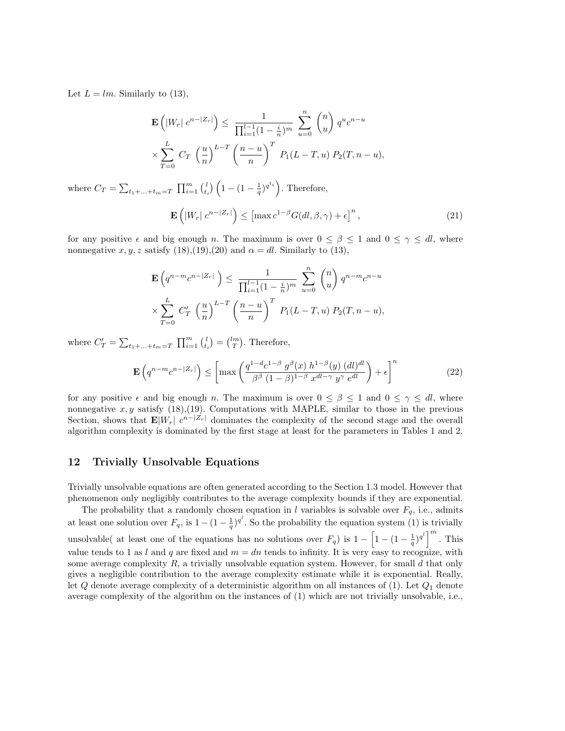Let  $L = lm$ . Similarly to (13),

$$
\mathbf{E}\left(|W_r| c^{n-|Z_r|}\right) \leq \frac{1}{\prod_{i=1}^{l-1} (1 - \frac{i}{n})^m} \sum_{u=0}^n {n \choose u} q^u c^{n-u}
$$
  
\$\times \sum\_{T=0}^L C\_T \left(\frac{u}{n}\right)^{L-T} \left(\frac{n-u}{n}\right)^T P\_1(L-T,u) P\_2(T,n-u)\$,

where  $C_T = \sum_{t_1+\ldots+t_m=T} \prod_{i=1}^m {l \choose t_i} \left(1-(1-\frac{1}{q})^{q^{t_i}}\right)$ . Therefore,

$$
\mathbf{E}\left(|W_r| \; c^{n-|Z_r|}\right) \le \left[\max c^{1-\beta} G(dl, \beta, \gamma) + \epsilon\right]^n,\tag{21}
$$

for any positive  $\epsilon$  and big enough n. The maximum is over  $0 \le \beta \le 1$  and  $0 \le \gamma \le dl$ , where nonnegative x, y, z satisfy  $(18)$ , $(19)$ , $(20)$  and  $\alpha = dl$ . Similarly to  $(13)$ ,

$$
\mathbf{E}\left(q^{n-m}c^{n-|Z_r|}\right) \le \frac{1}{\prod_{i=1}^{l-1}(1-\frac{i}{n})^m} \sum_{u=0}^n \binom{n}{u} q^{n-m}c^{n-u}
$$
  
\$\times \sum\_{T=0}^L C'\_T \left(\frac{u}{n}\right)^{L-T} \left(\frac{n-u}{n}\right)^T P\_1(L-T,u) P\_2(T,n-u)\$,

where  $C_T' = \sum_{t_1 + ... + t_m = T} \prod_{i=1}^m {l \choose t_i} = {lm \choose T}$ . Therefore,

$$
\mathbf{E}\left(q^{n-m}c^{n-|Z_r|}\right) \le \left[\max\left(\frac{q^{1-d}c^{1-\beta}g^{\beta}(x) h^{1-\beta}(y) (dl)^{dl}}{\beta^{\beta} (1-\beta)^{1-\beta} x^{dl-\gamma} y^{\gamma} e^{dl}}\right) + \epsilon\right]^n\tag{22}
$$

for any positive  $\epsilon$  and big enough n. The maximum is over  $0 \le \beta \le 1$  and  $0 \le \gamma \le dl$ , where nonnegative  $x, y$  satisfy (18),(19). Computations with MAPLE, similar to those in the previous Section, shows that  $\mathbf{E}|W_r|$   $c^{n-|Z_r|}$  dominates the complexity of the second stage and the overall algorithm complexity is dominated by the first stage at least for the parameters in Tables 1 and 2.

## 12 Trivially Unsolvable Equations

Trivially unsolvable equations are often generated according to the Section 1.3 model. However that phenomenon only negligibly contributes to the average complexity bounds if they are exponential.

The probability that a randomly chosen equation in l variables is solvable over  $F_q$ , i.e., admits at least one solution over  $F_q$ , is  $1 - (1 - \frac{1}{q})^{q^l}$ . So the probability the equation system (1) is trivially unsolvable( at least one of the equations has no solutions over  $F_q$ ) is  $1 - \left[1 - (1 - \frac{1}{q})^{q^l}\right]^m$ . This value tends to 1 as l and q are fixed and  $m = dn$  tends to infinity. It is very easy to recognize, with some average complexity  $R$ , a trivially unsolvable equation system. However, for small  $d$  that only gives a negligible contribution to the average complexity estimate while it is exponential. Really, let  $Q$  denote average complexity of a deterministic algorithm on all instances of (1). Let  $Q_1$  denote average complexity of the algorithm on the instances of (1) which are not trivially unsolvable, i.e.,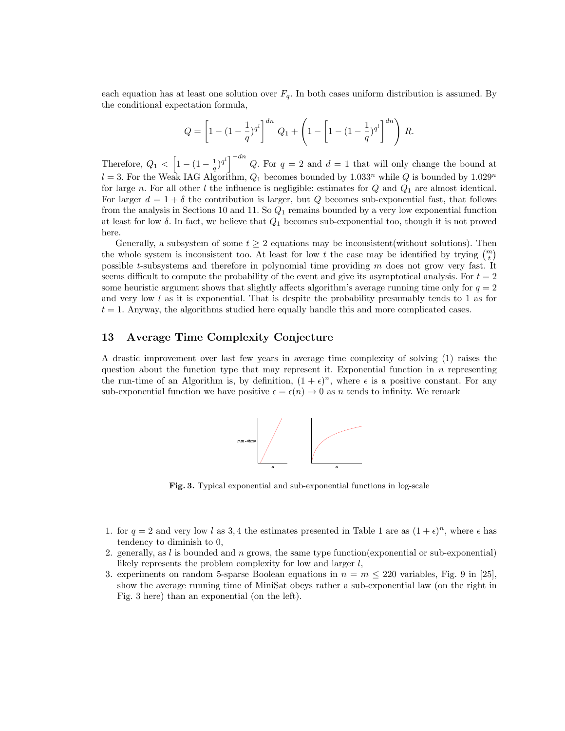each equation has at least one solution over  $F_q$ . In both cases uniform distribution is assumed. By the conditional expectation formula,

$$
Q = \left[1 - (1 - \frac{1}{q})^{q^l}\right]^{dn} Q_1 + \left(1 - \left[1 - (1 - \frac{1}{q})^{q^l}\right]^{dn}\right) R.
$$

Therefore,  $Q_1 \, \leq \, \left[1 - (1 - \frac{1}{q})^{q^l}\right]^{-dn} Q$ . For  $q = 2$  and  $d = 1$  that will only change the bound at  $l = 3$ . For the Weak IAG Algorithm,  $Q_1$  becomes bounded by  $1.033^n$  while Q is bounded by  $1.029^n$ for large n. For all other l the influence is negligible: estimates for  $Q$  and  $Q_1$  are almost identical. For larger  $d = 1 + \delta$  the contribution is larger, but Q becomes sub-exponential fast, that follows from the analysis in Sections 10 and 11. So  $Q_1$  remains bounded by a very low exponential function at least for low  $\delta$ . In fact, we believe that  $Q_1$  becomes sub-exponential too, though it is not proved here.

Generally, a subsystem of some  $t \geq 2$  equations may be inconsistent(without solutions). Then the whole system is inconsistent too. At least for low t the case may be identified by trying  $\binom{m}{t}$ possible t-subsystems and therefore in polynomial time providing m does not grow very fast. It seems difficult to compute the probability of the event and give its asymptotical analysis. For  $t = 2$ some heuristic argument shows that slightly affects algorithm's average running time only for  $q = 2$ and very low  $l$  as it is exponential. That is despite the probability presumably tends to 1 as for  $t = 1$ . Anyway, the algorithms studied here equally handle this and more complicated cases.

## 13 Average Time Complexity Conjecture

A drastic improvement over last few years in average time complexity of solving (1) raises the question about the function type that may represent it. Exponential function in  $n$  representing the run-time of an Algorithm is, by definition,  $(1 + \epsilon)^n$ , where  $\epsilon$  is a positive constant. For any sub-exponential function we have positive  $\epsilon = \epsilon(n) \to 0$  as n tends to infinity. We remark



Fig. 3. Typical exponential and sub-exponential functions in log-scale

- 1. for  $q = 2$  and very low l as 3,4 the estimates presented in Table 1 are as  $(1 + \epsilon)^n$ , where  $\epsilon$  has tendency to diminish to 0,
- 2. generally, as  $l$  is bounded and  $n$  grows, the same type function(exponential) or sub-exponential) likely represents the problem complexity for low and larger  $l$ ,
- 3. experiments on random 5-sparse Boolean equations in  $n = m \leq 220$  variables, Fig. 9 in [25], show the average running time of MiniSat obeys rather a sub-exponential law (on the right in Fig. 3 here) than an exponential (on the left).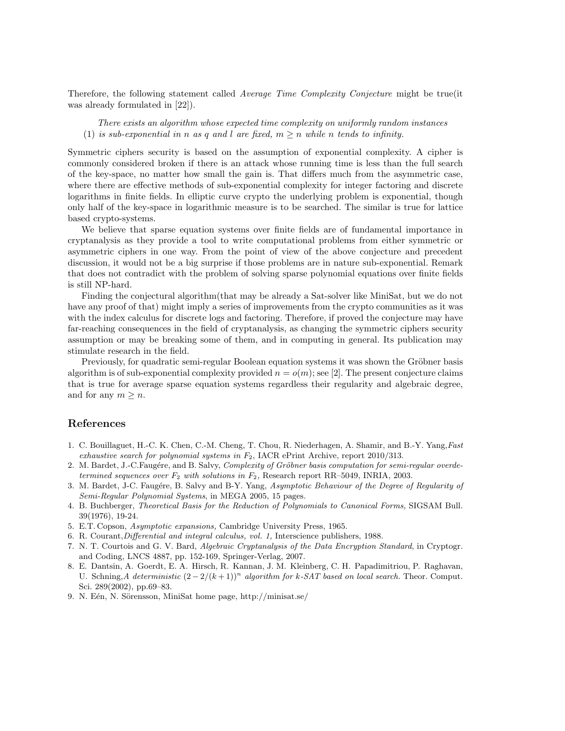Therefore, the following statement called *Average Time Complexity Conjecture* might be true(it was already formulated in [22]).

There exists an algorithm whose expected time complexity on uniformly random instances (1) is sub-exponential in n as q and l are fixed,  $m > n$  while n tends to infinity.

Symmetric ciphers security is based on the assumption of exponential complexity. A cipher is commonly considered broken if there is an attack whose running time is less than the full search of the key-space, no matter how small the gain is. That differs much from the asymmetric case, where there are effective methods of sub-exponential complexity for integer factoring and discrete logarithms in finite fields. In elliptic curve crypto the underlying problem is exponential, though only half of the key-space in logarithmic measure is to be searched. The similar is true for lattice based crypto-systems.

We believe that sparse equation systems over finite fields are of fundamental importance in cryptanalysis as they provide a tool to write computational problems from either symmetric or asymmetric ciphers in one way. From the point of view of the above conjecture and precedent discussion, it would not be a big surprise if those problems are in nature sub-exponential. Remark that does not contradict with the problem of solving sparse polynomial equations over finite fields is still NP-hard.

Finding the conjectural algorithm(that may be already a Sat-solver like MiniSat, but we do not have any proof of that) might imply a series of improvements from the crypto communities as it was with the index calculus for discrete logs and factoring. Therefore, if proved the conjecture may have far-reaching consequences in the field of cryptanalysis, as changing the symmetric ciphers security assumption or may be breaking some of them, and in computing in general. Its publication may stimulate research in the field.

Previously, for quadratic semi-regular Boolean equation systems it was shown the Gröbner basis algorithm is of sub-exponential complexity provided  $n = o(m)$ ; see [2]. The present conjecture claims that is true for average sparse equation systems regardless their regularity and algebraic degree, and for any  $m \geq n$ .

## References

- 1. C. Bouillaguet, H.-C. K. Chen, C.-M. Cheng, T. Chou, R. Niederhagen, A. Shamir, and B.-Y. Yang,Fast exhaustive search for polynomial systems in  $F_2$ , IACR ePrint Archive, report 2010/313.
- 2. M. Bardet, J.-C.Faugére, and B. Salvy, Complexity of Gröbner basis computation for semi-regular overdetermined sequences over  $F_2$  with solutions in  $F_2$ , Research report RR-5049, INRIA, 2003.
- 3. M. Bardet, J-C. Faugére, B. Salvy and B-Y. Yang, Asymptotic Behaviour of the Degree of Regularity of Semi-Regular Polynomial Systems, in MEGA 2005, 15 pages.
- 4. B. Buchberger, Theoretical Basis for the Reduction of Polynomials to Canonical Forms, SIGSAM Bull. 39(1976), 19-24.
- 5. E.T. Copson, Asymptotic expansions, Cambridge University Press, 1965.
- 6. R. Courant,Differential and integral calculus, vol. 1, Interscience publishers, 1988.
- 7. N. T. Courtois and G. V. Bard, Algebraic Cryptanalysis of the Data Encryption Standard, in Cryptogr. and Coding, LNCS 4887, pp. 152-169, Springer-Verlag, 2007.
- 8. E. Dantsin, A. Goerdt, E. A. Hirsch, R. Kannan, J. M. Kleinberg, C. H. Papadimitriou, P. Raghavan, U. Schning, A deterministic  $(2-2/(k+1))^n$  algorithm for k-SAT based on local search. Theor. Comput. Sci. 289(2002), pp.69–83.
- 9. N. Eén, N. Sörensson, MiniSat home page, http://minisat.se/